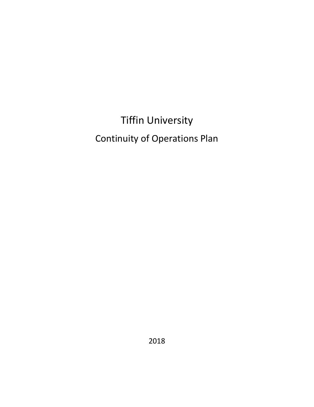Tiffin University Continuity of Operations Plan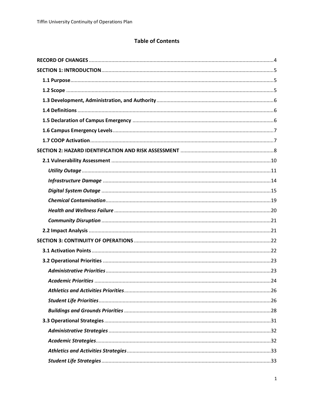# **Table of Contents**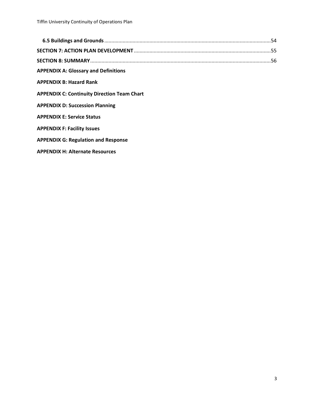| <b>APPENDIX A: Glossary and Definitions</b>        |  |
|----------------------------------------------------|--|
| <b>APPENDIX B: Hazard Rank</b>                     |  |
| <b>APPENDIX C: Continuity Direction Team Chart</b> |  |
| <b>APPENDIX D: Succession Planning</b>             |  |
| <b>APPENDIX E: Service Status</b>                  |  |
| <b>APPENDIX F: Facility Issues</b>                 |  |
| <b>APPENDIX G: Regulation and Response</b>         |  |
| <b>APPENDIX H: Alternate Resources</b>             |  |
|                                                    |  |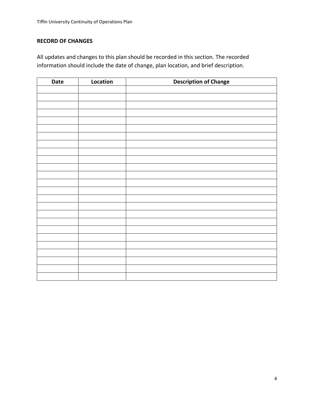# <span id="page-4-0"></span>**RECORD OF CHANGES**

All updates and changes to this plan should be recorded in this section. The recorded information should include the date of change, plan location, and brief description.

| Date | Location | <b>Description of Change</b> |
|------|----------|------------------------------|
|      |          |                              |
|      |          |                              |
|      |          |                              |
|      |          |                              |
|      |          |                              |
|      |          |                              |
|      |          |                              |
|      |          |                              |
|      |          |                              |
|      |          |                              |
|      |          |                              |
|      |          |                              |
|      |          |                              |
|      |          |                              |
|      |          |                              |
|      |          |                              |
|      |          |                              |
|      |          |                              |
|      |          |                              |
|      |          |                              |
|      |          |                              |
|      |          |                              |
|      |          |                              |
|      |          |                              |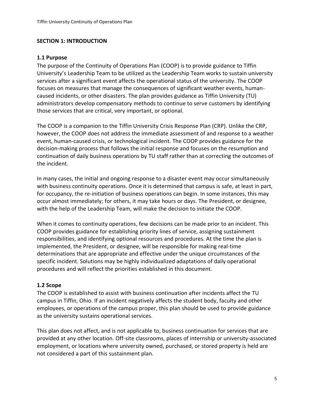#### <span id="page-5-0"></span>**SECTION 1: INTRODUCTION**

#### <span id="page-5-1"></span>**1.1 Purpose**

The purpose of the Continuity of Operations Plan (COOP) is to provide guidance to Tiffin University's Leadership Team to be utilized as the Leadership Team works to sustain university services after a significant event affects the operational status of the university. The COOP focuses on measures that manage the consequences of significant weather events, humancaused incidents, or other disasters. The plan provides guidance as Tiffin University (TU) administrators develop compensatory methods to continue to serve customers by identifying those services that are critical, very important, or optional.

The COOP is a companion to the Tiffin University Crisis Response Plan (CRP). Unlike the CRP, however, the COOP does not address the immediate assessment of and response to a weather event, human-caused crisis, or technological incident. The COOP provides guidance for the decision-making process that follows the initial response and focuses on the resumption and continuation of daily business operations by TU staff rather than at correcting the outcomes of the incident.

In many cases, the initial and ongoing response to a disaster event may occur simultaneously with business continuity operations. Once it is determined that campus is safe, at least in part, for occupancy, the re-initiation of business operations can begin. In some instances, this may occur almost immediately; for others, it may take hours or days. The President, or designee, with the help of the Leadership Team, will make the decision to initiate the COOP.

When it comes to continuity operations, few decisions can be made prior to an incident. This COOP provides guidance for establishing priority lines of service, assigning sustainment responsibilities, and identifying optional resources and procedures. At the time the plan is implemented, the President, or designee, will be responsible for making real-time determinations that are appropriate and effective under the unique circumstances of the specific incident. Solutions may be highly individualized adaptations of daily operational procedures and will reflect the priorities established in this document.

## <span id="page-5-2"></span>**1.2 Scope**

The COOP is established to assist with business continuation after incidents affect the TU campus in Tiffin, Ohio. If an incident negatively affects the student body, faculty and other employees, or operations of the campus proper, this plan should be used to provide guidance as the university sustains operational services.

This plan does not affect, and is not applicable to, business continuation for services that are provided at any other location. Off-site classrooms, places of internship or university-associated employment, or locations where university owned, purchased, or stored property is held are not considered a part of this sustainment plan.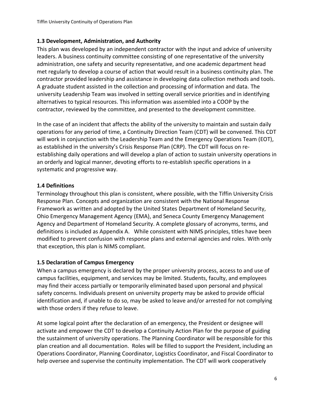## <span id="page-6-0"></span>**1.3 Development, Administration, and Authority**

This plan was developed by an independent contractor with the input and advice of university leaders. A business continuity committee consisting of one representative of the university administration, one safety and security representative, and one academic department head met regularly to develop a course of action that would result in a business continuity plan. The contractor provided leadership and assistance in developing data collection methods and tools. A graduate student assisted in the collection and processing of information and data. The university Leadership Team was involved in setting overall service priorities and in identifying alternatives to typical resources. This information was assembled into a COOP by the contractor, reviewed by the committee, and presented to the development committee.

In the case of an incident that affects the ability of the university to maintain and sustain daily operations for any period of time, a Continuity Direction Team (CDT) will be convened. This CDT will work in conjunction with the Leadership Team and the Emergency Operations Team (EOT), as established in the university's Crisis Response Plan (CRP). The CDT will focus on reestablishing daily operations and will develop a plan of action to sustain university operations in an orderly and logical manner, devoting efforts to re-establish specific operations in a systematic and progressive way.

## <span id="page-6-1"></span>**1.4 Definitions**

Terminology throughout this plan is consistent, where possible, with the Tiffin University Crisis Response Plan. Concepts and organization are consistent with the National Response Framework as written and adopted by the United States Department of Homeland Security, Ohio Emergency Management Agency (EMA), and Seneca County Emergency Management Agency and Department of Homeland Security. A complete glossary of acronyms, terms, and definitions is included as Appendix A. While consistent with NIMS principles, titles have been modified to prevent confusion with response plans and external agencies and roles. With only that exception, this plan is NIMS compliant.

#### <span id="page-6-2"></span>**1.5 Declaration of Campus Emergency**

When a campus emergency is declared by the proper university process, access to and use of campus facilities, equipment, and services may be limited. Students, faculty, and employees may find their access partially or temporarily eliminated based upon personal and physical safety concerns. Individuals present on university property may be asked to provide official identification and, if unable to do so, may be asked to leave and/or arrested for not complying with those orders if they refuse to leave.

At some logical point after the declaration of an emergency, the President or designee will activate and empower the CDT to develop a Continuity Action Plan for the purpose of guiding the sustainment of university operations. The Planning Coordinator will be responsible for this plan creation and all documentation. Roles will be filled to support the President, including an Operations Coordinator, Planning Coordinator, Logistics Coordinator, and Fiscal Coordinator to help oversee and supervise the continuity implementation. The CDT will work cooperatively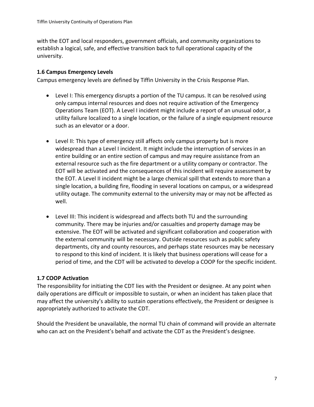with the EOT and local responders, government officials, and community organizations to establish a logical, safe, and effective transition back to full operational capacity of the university.

#### <span id="page-7-0"></span>**1.6 Campus Emergency Levels**

Campus emergency levels are defined by Tiffin University in the Crisis Response Plan.

- Level I: This emergency disrupts a portion of the TU campus. It can be resolved using only campus internal resources and does not require activation of the Emergency Operations Team (EOT). A Level I incident might include a report of an unusual odor, a utility failure localized to a single location, or the failure of a single equipment resource such as an elevator or a door.
- Level II: This type of emergency still affects only campus property but is more widespread than a Level I incident. It might include the interruption of services in an entire building or an entire section of campus and may require assistance from an external resource such as the fire department or a utility company or contractor. The EOT will be activated and the consequences of this incident will require assessment by the EOT. A Level II incident might be a large chemical spill that extends to more than a single location, a building fire, flooding in several locations on campus, or a widespread utility outage. The community external to the university may or may not be affected as well.
- Level III: This incident is widespread and affects both TU and the surrounding community. There may be injuries and/or casualties and property damage may be extensive. The EOT will be activated and significant collaboration and cooperation with the external community will be necessary. Outside resources such as public safety departments, city and county resources, and perhaps state resources may be necessary to respond to this kind of incident. It is likely that business operations will cease for a period of time, and the CDT will be activated to develop a COOP for the specific incident.

## <span id="page-7-1"></span>**1.7 COOP Activation**

The responsibility for initiating the CDT lies with the President or designee. At any point when daily operations are difficult or impossible to sustain, or when an incident has taken place that may affect the university's ability to sustain operations effectively, the President or designee is appropriately authorized to activate the CDT.

Should the President be unavailable, the normal TU chain of command will provide an alternate who can act on the President's behalf and activate the CDT as the President's designee.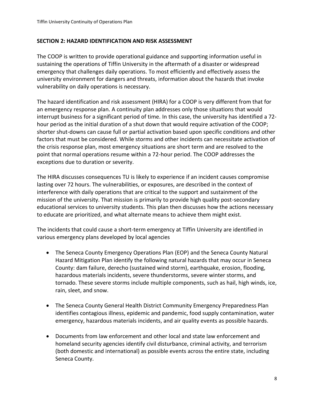#### <span id="page-8-0"></span>**SECTION 2: HAZARD IDENTIFICATION AND RISK ASSESSMENT**

The COOP is written to provide operational guidance and supporting information useful in sustaining the operations of Tiffin University in the aftermath of a disaster or widespread emergency that challenges daily operations. To most efficiently and effectively assess the university environment for dangers and threats, information about the hazards that invoke vulnerability on daily operations is necessary.

The hazard identification and risk assessment (HIRA) for a COOP is very different from that for an emergency response plan. A continuity plan addresses only those situations that would interrupt business for a significant period of time. In this case, the university has identified a 72 hour period as the initial duration of a shut down that would require activation of the COOP; shorter shut-downs can cause full or partial activation based upon specific conditions and other factors that must be considered. While storms and other incidents can necessitate activation of the crisis response plan, most emergency situations are short term and are resolved to the point that normal operations resume within a 72-hour period. The COOP addresses the exceptions due to duration or severity.

The HIRA discusses consequences TU is likely to experience if an incident causes compromise lasting over 72 hours. The vulnerabilities, or exposures, are described in the context of interference with daily operations that are critical to the support and sustainment of the mission of the university. That mission is primarily to provide high quality post-secondary educational services to university students. This plan then discusses how the actions necessary to educate are prioritized, and what alternate means to achieve them might exist.

The incidents that could cause a short-term emergency at Tiffin University are identified in various emergency plans developed by local agencies

- The Seneca County Emergency Operations Plan (EOP) and the Seneca County Natural Hazard Mitigation Plan identify the following natural hazards that may occur in Seneca County: dam failure, derecho (sustained wind storm), earthquake, erosion, flooding, hazardous materials incidents, severe thunderstorms, severe winter storms, and tornado. These severe storms include multiple components, such as hail, high winds, ice, rain, sleet, and snow.
- The Seneca County General Health District Community Emergency Preparedness Plan identifies contagious illness, epidemic and pandemic, food supply contamination, water emergency, hazardous materials incidents, and air quality events as possible hazards.
- Documents from law enforcement and other local and state law enforcement and homeland security agencies identify civil disturbance, criminal activity, and terrorism (both domestic and international) as possible events across the entire state, including Seneca County.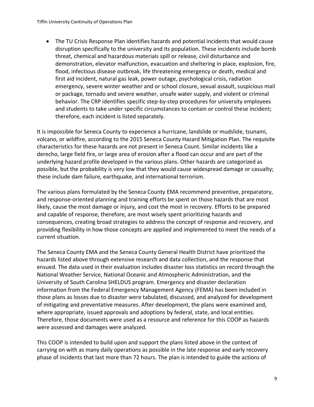• The TU Crisis Response Plan identifies hazards and potential incidents that would cause disruption specifically to the university and its population. These incidents include bomb threat, chemical and hazardous materials spill or release, civil disturbance and demonstration, elevator malfunction, evacuation and sheltering in place, explosion, fire, flood, infectious disease outbreak, life threatening emergency or death, medical and first aid incident, natural gas leak, power outage, psychological crisis, radiation emergency, severe winter weather and or school closure, sexual assault, suspicious mail or package, tornado and severe weather, unsafe water supply, and violent or criminal behavior. The CRP identifies specific step-by-step procedures for university employees and students to take under specific circumstances to contain or control these incident; therefore, each incident is listed separately.

It is impossible for Seneca County to experience a hurricane, landslide or mudslide, tsunami, volcano, or wildfire, according to the 2015 Seneca County Hazard Mitigation Plan. The requisite characteristics for these hazards are not present in Seneca Count. Similar incidents like a derecho, large field fire, or large area of erosion after a flood can occur and are part of the underlying hazard profile developed in the various plans. Other hazards are categorized as possible, but the probability is very low that they would cause widespread damage or casualty; these include dam failure, earthquake, and international terrorism.

The various plans formulated by the Seneca County EMA recommend preventive, preparatory, and response-oriented planning and training efforts be spent on those hazards that are most likely, cause the most damage or injury, and cost the most in recovery. Efforts to be prepared and capable of response, therefore, are most wisely spent prioritizing hazards and consequences, creating broad strategies to address the concept of response and recovery, and providing flexibility in how those concepts are applied and implemented to meet the needs of a current situation.

The Seneca County EMA and the Seneca County General Health District have prioritized the hazards listed above through extensive research and data collection, and the response that ensued. The data used in their evaluation includes disaster loss statistics on record through the National Weather Service, National Oceanic and Atmospheric Administration, and the University of South Carolina SHELDUS program. Emergency and disaster declaration information from the Federal Emergency Management Agency (FEMA) has been included in those plans as losses due to disaster were tabulated, discussed, and analyzed for development of mitigating and preventative measures. After development, the plans were examined and, where appropriate, issued approvals and adoptions by federal, state, and local entities. Therefore, those documents were used as a resource and reference for this COOP as hazards were assessed and damages were analyzed.

This COOP is intended to build upon and support the plans listed above in the context of carrying on with as many daily operations as possible in the late response and early recovery phase of incidents that last more than 72 hours. The plan is intended to guide the actions of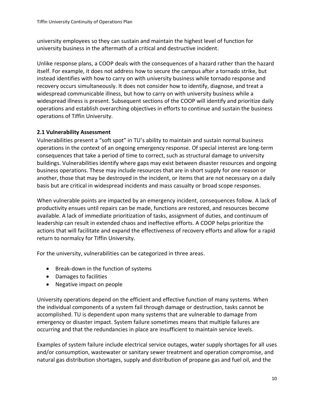university employees so they can sustain and maintain the highest level of function for university business in the aftermath of a critical and destructive incident.

Unlike response plans, a COOP deals with the consequences of a hazard rather than the hazard itself. For example, it does not address how to secure the campus after a tornado strike, but instead identifies with how to carry on with university business while tornado response and recovery occurs simultaneously. It does not consider how to identify, diagnose, and treat a widespread communicable illness, but how to carry on with university business while a widespread illness is present. Subsequent sections of the COOP will identify and prioritize daily operations and establish overarching objectives in efforts to continue and sustain the business operations of Tiffin University.

## <span id="page-10-0"></span>**2.1 Vulnerability Assessment**

Vulnerabilities present a "soft spot" in TU's ability to maintain and sustain normal business operations in the context of an ongoing emergency response. Of special interest are long-term consequences that take a period of time to correct, such as structural damage to university buildings. Vulnerabilities identify where gaps may exist between disaster resources and ongoing business operations. These may include resources that are in short supply for one reason or another, those that may be destroyed in the incident, or items that are not necessary on a daily basis but are critical in widespread incidents and mass casualty or broad scope responses.

When vulnerable points are impacted by an emergency incident, consequences follow. A lack of productivity ensues until repairs can be made, functions are restored, and resources become available. A lack of immediate prioritization of tasks, assignment of duties, and continuum of leadership can result in extended chaos and ineffective efforts. A COOP helps prioritize the actions that will facilitate and expand the effectiveness of recovery efforts and allow for a rapid return to normalcy for Tiffin University.

For the university, vulnerabilities can be categorized in three areas.

- Break-down in the function of systems
- Damages to facilities
- Negative impact on people

University operations depend on the efficient and effective function of many systems. When the individual components of a system fail through damage or destruction, tasks cannot be accomplished. TU is dependent upon many systems that are vulnerable to damage from emergency or disaster impact. System failure sometimes means that multiple failures are occurring and that the redundancies in place are insufficient to maintain service levels.

Examples of system failure include electrical service outages, water supply shortages for all uses and/or consumption, wastewater or sanitary sewer treatment and operation compromise, and natural gas distribution shortages, supply and distribution of propane gas and fuel oil, and the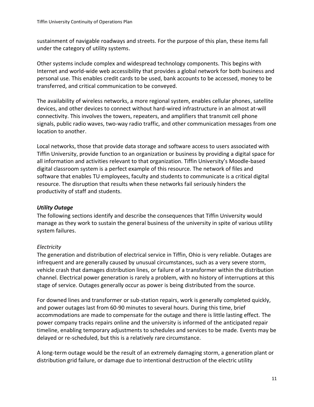sustainment of navigable roadways and streets. For the purpose of this plan, these items fall under the category of utility systems.

Other systems include complex and widespread technology components. This begins with Internet and world-wide web accessibility that provides a global network for both business and personal use. This enables credit cards to be used, bank accounts to be accessed, money to be transferred, and critical communication to be conveyed.

The availability of wireless networks, a more regional system, enables cellular phones, satellite devices, and other devices to connect without hard-wired infrastructure in an almost at-will connectivity. This involves the towers, repeaters, and amplifiers that transmit cell phone signals, public radio waves, two-way radio traffic, and other communication messages from one location to another.

Local networks, those that provide data storage and software access to users associated with Tiffin University, provide function to an organization or business by providing a digital space for all information and activities relevant to that organization. Tiffin University's Moodle-based digital classroom system is a perfect example of this resource. The network of files and software that enables TU employees, faculty and students to communicate is a critical digital resource. The disruption that results when these networks fail seriously hinders the productivity of staff and students.

## <span id="page-11-0"></span>*Utility Outage*

The following sections identify and describe the consequences that Tiffin University would manage as they work to sustain the general business of the university in spite of various utility system failures.

## *Electricity*

The generation and distribution of electrical service in Tiffin, Ohio is very reliable. Outages are infrequent and are generally caused by unusual circumstances, such as a very severe storm, vehicle crash that damages distribution lines, or failure of a transformer within the distribution channel. Electrical power generation is rarely a problem, with no history of interruptions at this stage of service. Outages generally occur as power is being distributed from the source.

For downed lines and transformer or sub-station repairs, work is generally completed quickly, and power outages last from 60-90 minutes to several hours. During this time, brief accommodations are made to compensate for the outage and there is little lasting effect. The power company tracks repairs online and the university is informed of the anticipated repair timeline, enabling temporary adjustments to schedules and services to be made. Events may be delayed or re-scheduled, but this is a relatively rare circumstance.

A long-term outage would be the result of an extremely damaging storm, a generation plant or distribution grid failure, or damage due to intentional destruction of the electric utility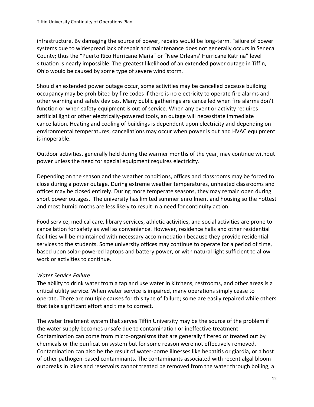infrastructure. By damaging the source of power, repairs would be long-term. Failure of power systems due to widespread lack of repair and maintenance does not generally occurs in Seneca County; thus the "Puerto Rico Hurricane Maria" or "New Orleans' Hurricane Katrina" level situation is nearly impossible. The greatest likelihood of an extended power outage in Tiffin, Ohio would be caused by some type of severe wind storm.

Should an extended power outage occur, some activities may be cancelled because building occupancy may be prohibited by fire codes if there is no electricity to operate fire alarms and other warning and safety devices. Many public gatherings are cancelled when fire alarms don't function or when safety equipment is out of service. When any event or activity requires artificial light or other electrically-powered tools, an outage will necessitate immediate cancellation. Heating and cooling of buildings is dependent upon electricity and depending on environmental temperatures, cancellations may occur when power is out and HVAC equipment is inoperable.

Outdoor activities, generally held during the warmer months of the year, may continue without power unless the need for special equipment requires electricity.

Depending on the season and the weather conditions, offices and classrooms may be forced to close during a power outage. During extreme weather temperatures, unheated classrooms and offices may be closed entirely. During more temperate seasons, they may remain open during short power outages. The university has limited summer enrollment and housing so the hottest and most humid moths are less likely to result in a need for continuity action.

Food service, medical care, library services, athletic activities, and social activities are prone to cancellation for safety as well as convenience. However, residence halls and other residential facilities will be maintained with necessary accommodation because they provide residential services to the students. Some university offices may continue to operate for a period of time, based upon solar-powered laptops and battery power, or with natural light sufficient to allow work or activities to continue.

## *Water Service Failure*

The ability to drink water from a tap and use water in kitchens, restrooms, and other areas is a critical utility service. When water service is impaired, many operations simply cease to operate. There are multiple causes for this type of failure; some are easily repaired while others that take significant effort and time to correct.

The water treatment system that serves Tiffin University may be the source of the problem if the water supply becomes unsafe due to contamination or ineffective treatment. Contamination can come from micro-organisms that are generally filtered or treated out by chemicals or the purification system but for some reason were not effectively removed. Contamination can also be the result of water-borne illnesses like hepatitis or giardia, or a host of other pathogen-based contaminants. The contaminants associated with recent algal bloom outbreaks in lakes and reservoirs cannot treated be removed from the water through boiling, a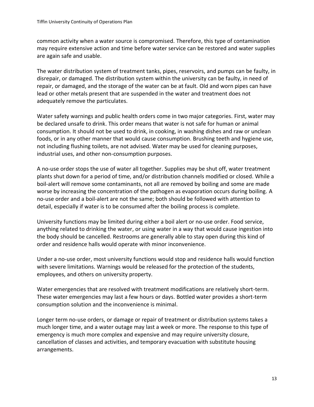common activity when a water source is compromised. Therefore, this type of contamination may require extensive action and time before water service can be restored and water supplies are again safe and usable.

The water distribution system of treatment tanks, pipes, reservoirs, and pumps can be faulty, in disrepair, or damaged. The distribution system within the university can be faulty, in need of repair, or damaged, and the storage of the water can be at fault. Old and worn pipes can have lead or other metals present that are suspended in the water and treatment does not adequately remove the particulates.

Water safety warnings and public health orders come in two major categories. First, water may be declared unsafe to drink. This order means that water is not safe for human or animal consumption. It should not be used to drink, in cooking, in washing dishes and raw or unclean foods, or in any other manner that would cause consumption. Brushing teeth and hygiene use, not including flushing toilets, are not advised. Water may be used for cleaning purposes, industrial uses, and other non-consumption purposes.

A no-use order stops the use of water all together. Supplies may be shut off, water treatment plants shut down for a period of time, and/or distribution channels modified or closed. While a boil-alert will remove some contaminants, not all are removed by boiling and some are made worse by increasing the concentration of the pathogen as evaporation occurs during boiling. A no-use order and a boil-alert are not the same; both should be followed with attention to detail, especially if water is to be consumed after the boiling process is complete.

University functions may be limited during either a boil alert or no-use order. Food service, anything related to drinking the water, or using water in a way that would cause ingestion into the body should be cancelled. Restrooms are generally able to stay open during this kind of order and residence halls would operate with minor inconvenience.

Under a no-use order, most university functions would stop and residence halls would function with severe limitations. Warnings would be released for the protection of the students, employees, and others on university property.

Water emergencies that are resolved with treatment modifications are relatively short-term. These water emergencies may last a few hours or days. Bottled water provides a short-term consumption solution and the inconvenience is minimal.

Longer term no-use orders, or damage or repair of treatment or distribution systems takes a much longer time, and a water outage may last a week or more. The response to this type of emergency is much more complex and expensive and may require university closure, cancellation of classes and activities, and temporary evacuation with substitute housing arrangements.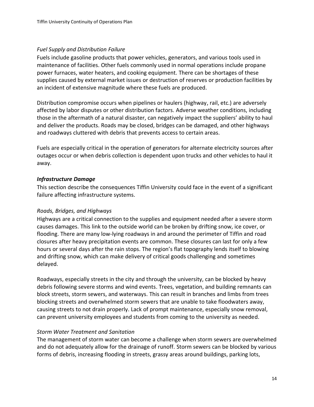#### *Fuel Supply and Distribution Failure*

Fuels include gasoline products that power vehicles, generators, and various tools used in maintenance of facilities. Other fuels commonly used in normal operations include propane power furnaces, water heaters, and cooking equipment. There can be shortages of these supplies caused by external market issues or destruction of reserves or production facilities by an incident of extensive magnitude where these fuels are produced.

Distribution compromise occurs when pipelines or haulers (highway, rail, etc.) are adversely affected by labor disputes or other distribution factors. Adverse weather conditions, including those in the aftermath of a natural disaster, can negatively impact the suppliers' ability to haul and deliver the products. Roads may be closed, bridges can be damaged, and other highways and roadways cluttered with debris that prevents access to certain areas.

Fuels are especially critical in the operation of generators for alternate electricity sources after outages occur or when debris collection is dependent upon trucks and other vehicles to haul it away.

#### <span id="page-14-0"></span>*Infrastructure Damage*

This section describe the consequences Tiffin University could face in the event of a significant failure affecting infrastructure systems.

## *Roads, Bridges, and Highways*

Highways are a critical connection to the supplies and equipment needed after a severe storm causes damages. This link to the outside world can be broken by drifting snow, ice cover, or flooding. There are many low-lying roadways in and around the perimeter of Tiffin and road closures after heavy precipitation events are common. These closures can last for only a few hours or several days after the rain stops. The region's flat topography lends itself to blowing and drifting snow, which can make delivery of critical goods challenging and sometimes delayed.

Roadways, especially streets in the city and through the university, can be blocked by heavy debris following severe storms and wind events. Trees, vegetation, and building remnants can block streets, storm sewers, and waterways. This can result in branches and limbs from trees blocking streets and overwhelmed storm sewers that are unable to take floodwaters away, causing streets to not drain properly. Lack of prompt maintenance, especially snow removal, can prevent university employees and students from coming to the university as needed.

## *Storm Water Treatment and Sanitation*

The management of storm water can become a challenge when storm sewers are overwhelmed and do not adequately allow for the drainage of runoff. Storm sewers can be blocked by various forms of debris, increasing flooding in streets, grassy areas around buildings, parking lots,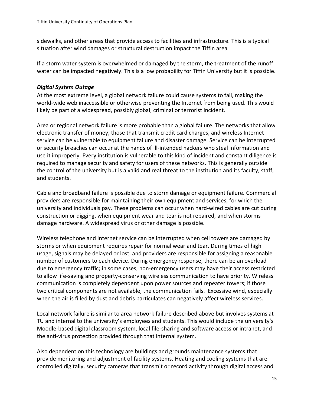sidewalks, and other areas that provide access to facilities and infrastructure. This is a typical situation after wind damages or structural destruction impact the Tiffin area

If a storm water system is overwhelmed or damaged by the storm, the treatment of the runoff water can be impacted negatively. This is a low probability for Tiffin University but it is possible.

#### <span id="page-15-0"></span>*Digital System Outage*

At the most extreme level, a global network failure could cause systems to fail, making the world-wide web inaccessible or otherwise preventing the Internet from being used. This would likely be part of a widespread, possibly global, criminal or terrorist incident.

Area or regional network failure is more probable than a global failure. The networks that allow electronic transfer of money, those that transmit credit card charges, and wireless Internet service can be vulnerable to equipment failure and disaster damage. Service can be interrupted or security breaches can occur at the hands of ill-intended hackers who steal information and use it improperly. Every institution is vulnerable to this kind of incident and constant diligence is required to manage security and safety for users of these networks. This is generally outside the control of the university but is a valid and real threat to the institution and its faculty, staff, and students.

Cable and broadband failure is possible due to storm damage or equipment failure. Commercial providers are responsible for maintaining their own equipment and services, for which the university and individuals pay. These problems can occur when hard-wired cables are cut during construction or digging, when equipment wear and tear is not repaired, and when storms damage hardware. A widespread virus or other damage is possible.

Wireless telephone and Internet service can be interrupted when cell towers are damaged by storms or when equipment requires repair for normal wear and tear. During times of high usage, signals may be delayed or lost, and providers are responsible for assigning a reasonable number of customers to each device. During emergency response, there can be an overload due to emergency traffic; in some cases, non-emergency users may have their access restricted to allow life-saving and property-conserving wireless communication to have priority. Wireless communication is completely dependent upon power sources and repeater towers; if those two critical components are not available, the communication fails. Excessive wind, especially when the air is filled by dust and debris particulates can negatively affect wireless services.

Local network failure is similar to area network failure described above but involves systems at TU and internal to the university's employees and students. This would include the university's Moodle-based digital classroom system, local file-sharing and software access or intranet, and the anti-virus protection provided through that internal system.

Also dependent on this technology are buildings and grounds maintenance systems that provide monitoring and adjustment of facility systems. Heating and cooling systems that are controlled digitally, security cameras that transmit or record activity through digital access and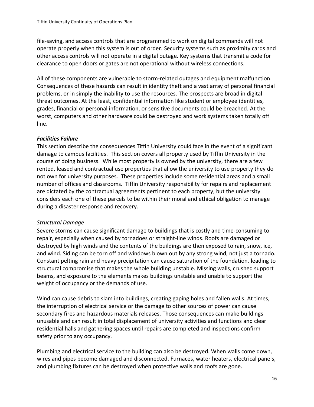file-saving, and access controls that are programmed to work on digital commands will not operate properly when this system is out of order. Security systems such as proximity cards and other access controls will not operate in a digital outage. Key systems that transmit a code for clearance to open doors or gates are not operational without wireless connections.

All of these components are vulnerable to storm-related outages and equipment malfunction. Consequences of these hazards can result in identity theft and a vast array of personal financial problems, or in simply the inability to use the resources. The prospects are broad in digital threat outcomes. At the least, confidential information like student or employee identities, grades, financial or personal information, or sensitive documents could be breached. At the worst, computers and other hardware could be destroyed and work systems taken totally off line.

## *Facilities Failure*

This section describe the consequences Tiffin University could face in the event of a significant damage to campus facilities. This section covers all property used by Tiffin University in the course of doing business. While most property is owned by the university, there are a few rented, leased and contractual use properties that allow the university to use property they do not own for university purposes. These properties include some residential areas and a small number of offices and classrooms. Tiffin University responsibility for repairs and replacement are dictated by the contractual agreements pertinent to each property, but the university considers each one of these parcels to be within their moral and ethical obligation to manage during a disaster response and recovery.

## *Structural Damage*

Severe storms can cause significant damage to buildings that is costly and time-consuming to repair, especially when caused by tornadoes or straight-line winds. Roofs are damaged or destroyed by high winds and the contents of the buildings are then exposed to rain, snow, ice, and wind. Siding can be torn off and windows blown out by any strong wind, not just a tornado. Constant pelting rain and heavy precipitation can cause saturation of the foundation, leading to structural compromise that makes the whole building unstable. Missing walls, crushed support beams, and exposure to the elements makes buildings unstable and unable to support the weight of occupancy or the demands of use.

Wind can cause debris to slam into buildings, creating gaping holes and fallen walls. At times, the interruption of electrical service or the damage to other sources of power can cause secondary fires and hazardous materials releases. Those consequences can make buildings unusable and can result in total displacement of university activities and functions and clear residential halls and gathering spaces until repairs are completed and inspections confirm safety prior to any occupancy.

Plumbing and electrical service to the building can also be destroyed. When walls come down, wires and pipes become damaged and disconnected. Furnaces, water heaters, electrical panels, and plumbing fixtures can be destroyed when protective walls and roofs are gone.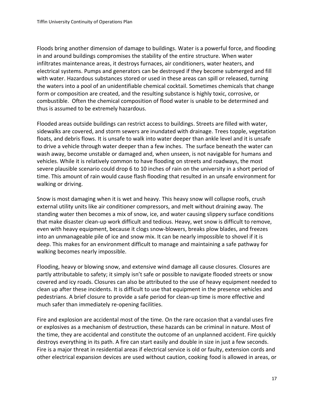Floods bring another dimension of damage to buildings. Water is a powerful force, and flooding in and around buildings compromises the stability of the entire structure. When water infiltrates maintenance areas, it destroys furnaces, air conditioners, water heaters, and electrical systems. Pumps and generators can be destroyed if they become submerged and fill with water. Hazardous substances stored or used in these areas can spill or released, turning the waters into a pool of an unidentifiable chemical cocktail. Sometimes chemicals that change form or composition are created, and the resulting substance is highly toxic, corrosive, or combustible. Often the chemical composition of flood water is unable to be determined and thus is assumed to be extremely hazardous.

Flooded areas outside buildings can restrict access to buildings. Streets are filled with water, sidewalks are covered, and storm sewers are inundated with drainage. Trees topple, vegetation floats, and debris flows. It is unsafe to walk into water deeper than ankle level and it is unsafe to drive a vehicle through water deeper than a few inches. The surface beneath the water can wash away, become unstable or damaged and, when unseen, is not navigable for humans and vehicles. While it is relatively common to have flooding on streets and roadways, the most severe plausible scenario could drop 6 to 10 inches of rain on the university in a short period of time. This amount of rain would cause flash flooding that resulted in an unsafe environment for walking or driving.

Snow is most damaging when it is wet and heavy. This heavy snow will collapse roofs, crush external utility units like air conditioner compressors, and melt without draining away. The standing water then becomes a mix of snow, ice, and water causing slippery surface conditions that make disaster clean-up work difficult and tedious. Heavy, wet snow is difficult to remove, even with heavy equipment, because it clogs snow-blowers, breaks plow blades, and freezes into an unmanageable pile of ice and snow mix. It can be nearly impossible to shovel if it is deep. This makes for an environment difficult to manage and maintaining a safe pathway for walking becomes nearly impossible.

Flooding, heavy or blowing snow, and extensive wind damage all cause closures. Closures are partly attributable to safety; it simply isn't safe or possible to navigate flooded streets or snow covered and icy roads. Closures can also be attributed to the use of heavy equipment needed to clean up after these incidents. It is difficult to use that equipment in the presence vehicles and pedestrians. A brief closure to provide a safe period for clean-up time is more effective and much safer than immediately re-opening facilities.

Fire and explosion are accidental most of the time. On the rare occasion that a vandal uses fire or explosives as a mechanism of destruction, these hazards can be criminal in nature. Most of the time, they are accidental and constitute the outcome of an unplanned accident. Fire quickly destroys everything in its path. A fire can start easily and double in size in just a few seconds. Fire is a major threat in residential areas if electrical service is old or faulty, extension cords and other electrical expansion devices are used without caution, cooking food is allowed in areas, or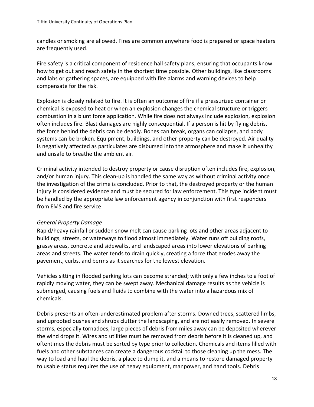candles or smoking are allowed. Fires are common anywhere food is prepared or space heaters are frequently used.

Fire safety is a critical component of residence hall safety plans, ensuring that occupants know how to get out and reach safety in the shortest time possible. Other buildings, like classrooms and labs or gathering spaces, are equipped with fire alarms and warning devices to help compensate for the risk.

Explosion is closely related to fire. It is often an outcome of fire if a pressurized container or chemical is exposed to heat or when an explosion changes the chemical structure or triggers combustion in a blunt force application. While fire does not always include explosion, explosion often includes fire. Blast damages are highly consequential. If a person is hit by flying debris, the force behind the debris can be deadly. Bones can break, organs can collapse, and body systems can be broken. Equipment, buildings, and other property can be destroyed. Air quality is negatively affected as particulates are disbursed into the atmosphere and make it unhealthy and unsafe to breathe the ambient air.

Criminal activity intended to destroy property or cause disruption often includes fire, explosion, and/or human injury. This clean-up is handled the same way as without criminal activity once the investigation of the crime is concluded. Prior to that, the destroyed property or the human injury is considered evidence and must be secured for law enforcement. This type incident must be handled by the appropriate law enforcement agency in conjunction with first responders from EMS and fire service.

## *General Property Damage*

Rapid/heavy rainfall or sudden snow melt can cause parking lots and other areas adjacent to buildings, streets, or waterways to flood almost immediately. Water runs off building roofs, grassy areas, concrete and sidewalks, and landscaped areas into lower elevations of parking areas and streets. The water tends to drain quickly, creating a force that erodes away the pavement, curbs, and berms as it searches for the lowest elevation.

Vehicles sitting in flooded parking lots can become stranded; with only a few inches to a foot of rapidly moving water, they can be swept away. Mechanical damage results as the vehicle is submerged, causing fuels and fluids to combine with the water into a hazardous mix of chemicals.

Debris presents an often-underestimated problem after storms. Downed trees, scattered limbs, and uprooted bushes and shrubs clutter the landscaping, and are not easily removed. In severe storms, especially tornadoes, large pieces of debris from miles away can be deposited wherever the wind drops it. Wires and utilities must be removed from debris before it is cleaned up, and oftentimes the debris must be sorted by type prior to collection. Chemicals and items filled with fuels and other substances can create a dangerous cocktail to those cleaning up the mess. The way to load and haul the debris, a place to dump it, and a means to restore damaged property to usable status requires the use of heavy equipment, manpower, and hand tools. Debris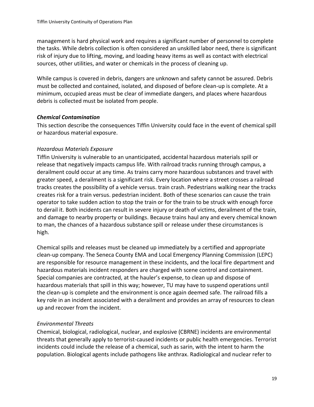management is hard physical work and requires a significant number of personnel to complete the tasks. While debris collection is often considered an unskilled labor need, there is significant risk of injury due to lifting, moving, and loading heavy items as well as contact with electrical sources, other utilities, and water or chemicals in the process of cleaning up.

While campus is covered in debris, dangers are unknown and safety cannot be assured. Debris must be collected and contained, isolated, and disposed of before clean-up is complete. At a minimum, occupied areas must be clear of immediate dangers, and places where hazardous debris is collected must be isolated from people.

#### <span id="page-19-0"></span>*Chemical Contamination*

This section describe the consequences Tiffin University could face in the event of chemical spill or hazardous material exposure.

#### *Hazardous Materials Exposure*

Tiffin University is vulnerable to an unanticipated, accidental hazardous materials spill or release that negatively impacts campus life. With railroad tracks running through campus, a derailment could occur at any time. As trains carry more hazardous substances and travel with greater speed, a derailment is a significant risk. Every location where a street crosses a railroad tracks creates the possibility of a vehicle versus. train crash. Pedestrians walking near the tracks creates risk for a train versus. pedestrian incident. Both of these scenarios can cause the train operator to take sudden action to stop the train or for the train to be struck with enough force to derail it. Both incidents can result in severe injury or death of victims, derailment of the train, and damage to nearby property or buildings. Because trains haul any and every chemical known to man, the chances of a hazardous substance spill or release under these circumstances is high.

Chemical spills and releases must be cleaned up immediately by a certified and appropriate clean-up company. The Seneca County EMA and Local Emergency Planning Commission (LEPC) are responsible for resource management in these incidents, and the local fire department and hazardous materials incident responders are charged with scene control and containment. Special companies are contracted, at the hauler's expense, to clean up and dispose of hazardous materials that spill in this way; however, TU may have to suspend operations until the clean-up is complete and the environment is once again deemed safe. The railroad fills a key role in an incident associated with a derailment and provides an array of resources to clean up and recover from the incident.

## *Environmental Threats*

Chemical, biological, radiological, nuclear, and explosive (CBRNE) incidents are environmental threats that generally apply to terrorist-caused incidents or public health emergencies. Terrorist incidents could include the release of a chemical, such as sarin, with the intent to harm the population. Biological agents include pathogens like anthrax. Radiological and nuclear refer to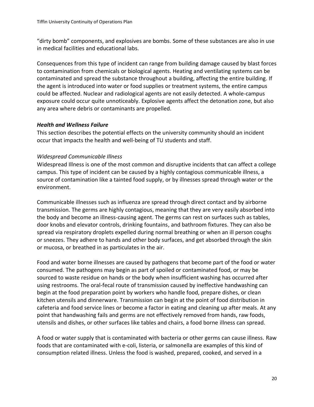"dirty bomb" components, and explosives are bombs. Some of these substances are also in use in medical facilities and educational labs.

Consequences from this type of incident can range from building damage caused by blast forces to contamination from chemicals or biological agents. Heating and ventilating systems can be contaminated and spread the substance throughout a building, affecting the entire building. If the agent is introduced into water or food supplies or treatment systems, the entire campus could be affected. Nuclear and radiological agents are not easily detected. A whole-campus exposure could occur quite unnoticeably. Explosive agents affect the detonation zone, but also any area where debris or contaminants are propelled.

## <span id="page-20-0"></span>*Health and Wellness Failure*

This section describes the potential effects on the university community should an incident occur that impacts the health and well-being of TU students and staff.

## *Widespread Communicable Illness*

Widespread Illness is one of the most common and disruptive incidents that can affect a college campus. This type of incident can be caused by a highly contagious communicable illness, a source of contamination like a tainted food supply, or by illnesses spread through water or the environment.

Communicable illnesses such as influenza are spread through direct contact and by airborne transmission. The germs are highly contagious, meaning that they are very easily absorbed into the body and become an illness-causing agent. The germs can rest on surfaces such as tables, door knobs and elevator controls, drinking fountains, and bathroom fixtures. They can also be spread via respiratory droplets expelled during normal breathing or when an ill person coughs or sneezes. They adhere to hands and other body surfaces, and get absorbed through the skin or mucosa, or breathed in as particulates in the air.

Food and water borne illnesses are caused by pathogens that become part of the food or water consumed. The pathogens may begin as part of spoiled or contaminated food, or may be sourced to waste residue on hands or the body when insufficient washing has occurred after using restrooms. The oral-fecal route of transmission caused by ineffective handwashing can begin at the food preparation point by workers who handle food, prepare dishes, or clean kitchen utensils and dinnerware. Transmission can begin at the point of food distribution in cafeteria and food service lines or become a factor in eating and cleaning up after meals. At any point that handwashing fails and germs are not effectively removed from hands, raw foods, utensils and dishes, or other surfaces like tables and chairs, a food borne illness can spread.

A food or water supply that is contaminated with bacteria or other germs can cause illness. Raw foods that are contaminated with e-coli, listeria, or salmonella are examples of this kind of consumption related illness. Unless the food is washed, prepared, cooked, and served in a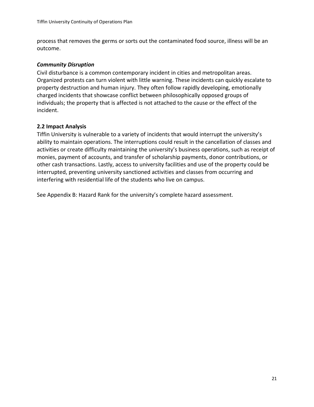process that removes the germs or sorts out the contaminated food source, illness will be an outcome.

#### <span id="page-21-0"></span>*Community Disruption*

Civil disturbance is a common contemporary incident in cities and metropolitan areas. Organized protests can turn violent with little warning. These incidents can quickly escalate to property destruction and human injury. They often follow rapidly developing, emotionally charged incidents that showcase conflict between philosophically opposed groups of individuals; the property that is affected is not attached to the cause or the effect of the incident.

#### <span id="page-21-1"></span>**2.2 Impact Analysis**

Tiffin University is vulnerable to a variety of incidents that would interrupt the university's ability to maintain operations. The interruptions could result in the cancellation of classes and activities or create difficulty maintaining the university's business operations, such as receipt of monies, payment of accounts, and transfer of scholarship payments, donor contributions, or other cash transactions. Lastly, access to university facilities and use of the property could be interrupted, preventing university sanctioned activities and classes from occurring and interfering with residential life of the students who live on campus.

See Appendix B: Hazard Rank for the university's complete hazard assessment.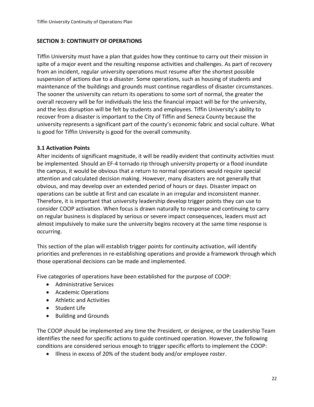## <span id="page-22-0"></span>**SECTION 3: CONTINUITY OF OPERATIONS**

Tiffin University must have a plan that guides how they continue to carry out their mission in spite of a major event and the resulting response activities and challenges. As part of recovery from an incident, regular university operations must resume after the shortest possible suspension of actions due to a disaster. Some operations, such as housing of students and maintenance of the buildings and grounds must continue regardless of disaster circumstances. The sooner the university can return its operations to some sort of normal, the greater the overall recovery will be for individuals the less the financial impact will be for the university, and the less disruption will be felt by students and employees. Tiffin University's ability to recover from a disaster is important to the City of Tiffin and Seneca County because the university represents a significant part of the county's economic fabric and social culture. What is good for Tiffin University is good for the overall community.

## <span id="page-22-1"></span>**3.1 Activation Points**

After incidents of significant magnitude, it will be readily evident that continuity activities must be implemented. Should an EF-4 tornado rip through university property or a flood inundate the campus, it would be obvious that a return to normal operations would require special attention and calculated decision making. However, many disasters are not generally that obvious, and may develop over an extended period of hours or days. Disaster impact on operations can be subtle at first and can escalate in an irregular and inconsistent manner. Therefore, it is important that university leadership develop trigger points they can use to consider COOP activation. When focus is drawn naturally to response and continuing to carry on regular business is displaced by serious or severe impact consequences, leaders must act almost impulsively to make sure the university begins recovery at the same time response is occurring.

This section of the plan will establish trigger points for continuity activation, will identify priorities and preferences in re-establishing operations and provide a framework through which those operational decisions can be made and implemented.

Five categories of operations have been established for the purpose of COOP:

- Administrative Services
- Academic Operations
- Athletic and Activities
- Student Life
- Building and Grounds

The COOP should be implemented any time the President, or designee, or the Leadership Team identifies the need for specific actions to guide continued operation. However, the following conditions are considered serious enough to trigger specific efforts to implement the COOP:

• Illness in excess of 20% of the student body and/or employee roster.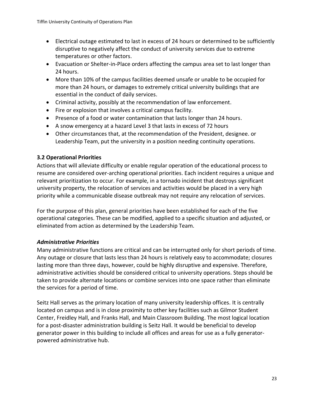- Electrical outage estimated to last in excess of 24 hours or determined to be sufficiently disruptive to negatively affect the conduct of university services due to extreme temperatures or other factors.
- Evacuation or Shelter-in-Place orders affecting the campus area set to last longer than 24 hours.
- More than 10% of the campus facilities deemed unsafe or unable to be occupied for more than 24 hours, or damages to extremely critical university buildings that are essential in the conduct of daily services.
- Criminal activity, possibly at the recommendation of law enforcement.
- Fire or explosion that involves a critical campus facility.
- Presence of a food or water contamination that lasts longer than 24 hours.
- A snow emergency at a hazard Level 3 that lasts in excess of 72 hours
- Other circumstances that, at the recommendation of the President, designee. or Leadership Team, put the university in a position needing continuity operations.

## <span id="page-23-0"></span>**3.2 Operational Priorities**

Actions that will alleviate difficulty or enable regular operation of the educational process to resume are considered over-arching operational priorities. Each incident requires a unique and relevant prioritization to occur. For example, in a tornado incident that destroys significant university property, the relocation of services and activities would be placed in a very high priority while a communicable disease outbreak may not require any relocation of services.

For the purpose of this plan, general priorities have been established for each of the five operational categories. These can be modified, applied to a specific situation and adjusted, or eliminated from action as determined by the Leadership Team.

## <span id="page-23-1"></span>*Administrative Priorities*

Many administrative functions are critical and can be interrupted only for short periods of time. Any outage or closure that lasts less than 24 hours is relatively easy to accommodate; closures lasting more than three days, however, could be highly disruptive and expensive. Therefore, administrative activities should be considered critical to university operations. Steps should be taken to provide alternate locations or combine services into one space rather than eliminate the services for a period of time.

Seitz Hall serves as the primary location of many university leadership offices. It is centrally located on campus and is in close proximity to other key facilities such as Gilmor Student Center, Freidley Hall, and Franks Hall, and Main Classroom Building. The most logical location for a post-disaster administration building is Seitz Hall. It would be beneficial to develop generator power in this building to include all offices and areas for use as a fully generatorpowered administrative hub.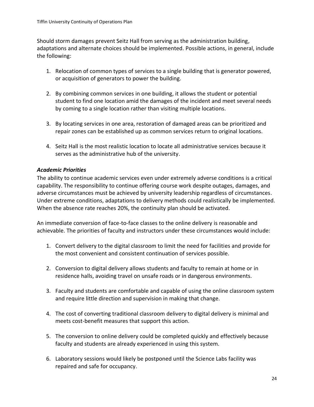Should storm damages prevent Seitz Hall from serving as the administration building, adaptations and alternate choices should be implemented. Possible actions, in general, include the following:

- 1. Relocation of common types of services to a single building that is generator powered, or acquisition of generators to power the building.
- 2. By combining common services in one building, it allows the student or potential student to find one location amid the damages of the incident and meet several needs by coming to a single location rather than visiting multiple locations.
- 3. By locating services in one area, restoration of damaged areas can be prioritized and repair zones can be established up as common services return to original locations.
- 4. Seitz Hall is the most realistic location to locate all administrative services because it serves as the administrative hub of the university.

## <span id="page-24-0"></span>*Academic Priorities*

The ability to continue academic services even under extremely adverse conditions is a critical capability. The responsibility to continue offering course work despite outages, damages, and adverse circumstances must be achieved by university leadership regardless of circumstances. Under extreme conditions, adaptations to delivery methods could realistically be implemented. When the absence rate reaches 20%, the continuity plan should be activated.

An immediate conversion of face-to-face classes to the online delivery is reasonable and achievable. The priorities of faculty and instructors under these circumstances would include:

- 1. Convert delivery to the digital classroom to limit the need for facilities and provide for the most convenient and consistent continuation of services possible.
- 2. Conversion to digital delivery allows students and faculty to remain at home or in residence halls, avoiding travel on unsafe roads or in dangerous environments.
- 3. Faculty and students are comfortable and capable of using the online classroom system and require little direction and supervision in making that change.
- 4. The cost of converting traditional classroom delivery to digital delivery is minimal and meets cost-benefit measures that support this action.
- 5. The conversion to online delivery could be completed quickly and effectively because faculty and students are already experienced in using this system.
- 6. Laboratory sessions would likely be postponed until the Science Labs facility was repaired and safe for occupancy.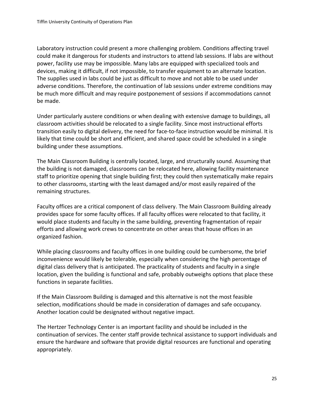Laboratory instruction could present a more challenging problem. Conditions affecting travel could make it dangerous for students and instructors to attend lab sessions. If labs are without power, facility use may be impossible. Many labs are equipped with specialized tools and devices, making it difficult, if not impossible, to transfer equipment to an alternate location. The supplies used in labs could be just as difficult to move and not able to be used under adverse conditions. Therefore, the continuation of lab sessions under extreme conditions may be much more difficult and may require postponement of sessions if accommodations cannot be made.

Under particularly austere conditions or when dealing with extensive damage to buildings, all classroom activities should be relocated to a single facility. Since most instructional efforts transition easily to digital delivery, the need for face-to-face instruction would be minimal. It is likely that time could be short and efficient, and shared space could be scheduled in a single building under these assumptions.

The Main Classroom Building is centrally located, large, and structurally sound. Assuming that the building is not damaged, classrooms can be relocated here, allowing facility maintenance staff to prioritize opening that single building first; they could then systematically make repairs to other classrooms, starting with the least damaged and/or most easily repaired of the remaining structures.

Faculty offices are a critical component of class delivery. The Main Classroom Building already provides space for some faculty offices. If all faculty offices were relocated to that facility, it would place students and faculty in the same building, preventing fragmentation of repair efforts and allowing work crews to concentrate on other areas that house offices in an organized fashion.

While placing classrooms and faculty offices in one building could be cumbersome, the brief inconvenience would likely be tolerable, especially when considering the high percentage of digital class delivery that is anticipated. The practicality of students and faculty in a single location, given the building is functional and safe, probably outweighs options that place these functions in separate facilities.

If the Main Classroom Building is damaged and this alternative is not the most feasible selection, modifications should be made in consideration of damages and safe occupancy. Another location could be designated without negative impact.

The Hertzer Technology Center is an important facility and should be included in the continuation of services. The center staff provide technical assistance to support individuals and ensure the hardware and software that provide digital resources are functional and operating appropriately.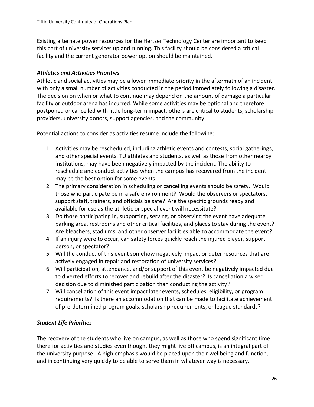Existing alternate power resources for the Hertzer Technology Center are important to keep this part of university services up and running. This facility should be considered a critical facility and the current generator power option should be maintained.

## <span id="page-26-0"></span>*Athletics and Activities Priorities*

Athletic and social activities may be a lower immediate priority in the aftermath of an incident with only a small number of activities conducted in the period immediately following a disaster. The decision on when or what to continue may depend on the amount of damage a particular facility or outdoor arena has incurred. While some activities may be optional and therefore postponed or cancelled with little long-term impact, others are critical to students, scholarship providers, university donors, support agencies, and the community.

Potential actions to consider as activities resume include the following:

- 1. Activities may be rescheduled, including athletic events and contests, social gatherings, and other special events. TU athletes and students, as well as those from other nearby institutions, may have been negatively impacted by the incident. The ability to reschedule and conduct activities when the campus has recovered from the incident may be the best option for some events.
- 2. The primary consideration in scheduling or cancelling events should be safety. Would those who participate be in a safe environment? Would the observers or spectators, support staff, trainers, and officials be safe? Are the specific grounds ready and available for use as the athletic or special event will necessitate?
- 3. Do those participating in, supporting, serving, or observing the event have adequate parking area, restrooms and other critical facilities, and places to stay during the event? Are bleachers, stadiums, and other observer facilities able to accommodate the event?
- 4. If an injury were to occur, can safety forces quickly reach the injured player, support person, or spectator?
- 5. Will the conduct of this event somehow negatively impact or deter resources that are actively engaged in repair and restoration of university services?
- 6. Will participation, attendance, and/or support of this event be negatively impacted due to diverted efforts to recover and rebuild after the disaster? Is cancellation a wiser decision due to diminished participation than conducting the activity?
- 7. Will cancellation of this event impact later events, schedules, eligibility, or program requirements? Is there an accommodation that can be made to facilitate achievement of pre-determined program goals, scholarship requirements, or league standards?

# <span id="page-26-1"></span>*Student Life Priorities*

The recovery of the students who live on campus, as well as those who spend significant time there for activities and studies even thought they might live off campus, is an integral part of the university purpose. A high emphasis would be placed upon their wellbeing and function, and in continuing very quickly to be able to serve them in whatever way is necessary.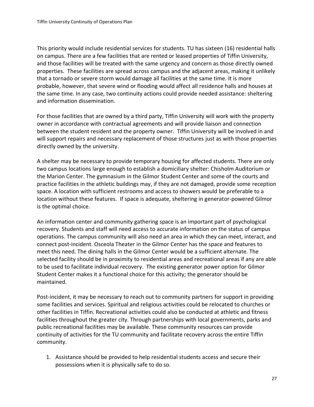This priority would include residential services for students. TU has sixteen (16) residential halls on campus. There are a few facilities that are rented or leased properties of Tiffin University, and those facilities will be treated with the same urgency and concern as those directly owned properties. These facilities are spread across campus and the adjacent areas, making it unlikely that a tornado or severe storm would damage all facilities at the same time. It is more probable, however, that severe wind or flooding would affect all residence halls and houses at the same time. In any case, two continuity actions could provide needed assistance: sheltering and information dissemination.

For those facilities that are owned by a third party, Tiffin University will work with the property owner in accordance with contractual agreements and will provide liaison and connection between the student resident and the property owner. Tiffin University will be involved in and will support repairs and necessary replacement of those structures just as with those properties directly owned by the university.

A shelter may be necessary to provide temporary housing for affected students. There are only two campus locations large enough to establish a domiciliary shelter: Chisholm Auditorium or the Marion Center. The gymnasium in the Gilmor Student Center and some of the courts and practice facilities in the athletic buildings may, if they are not damaged, provide some reception space. A location with sufficient restrooms and access to showers would be preferable to a location without these features. If space is adequate, sheltering in generator-powered Gilmor is the optimal choice.

An information center and community gathering space is an important part of psychological recovery. Students and staff will need access to accurate information on the status of campus operations. The campus community will also need an area in which they can meet, interact, and connect post-incident. Osceola Theater in the Gilmor Center has the space and features to meet this need. The dining halls in the Gilmor Center would be a sufficient alternate. The selected facility should be in proximity to residential areas and recreational areas if any are able to be used to facilitate individual recovery. The existing generator power option for Gilmor Student Center makes it a functional choice for this activity; the generator should be maintained.

Post-incident, it may be necessary to reach out to community partners for support in providing some facilities and services. Spiritual and religious activities could be relocated to churches or other facilities in Tiffin. Recreational activities could also be conducted at athletic and fitness facilities throughout the greater city. Through partnerships with local governments, parks and public recreational facilities may be available. These community resources can provide continuity of activities for the TU community and facilitate recovery across the entire Tiffin community.

1. Assistance should be provided to help residential students access and secure their possessions when it is physically safe to do so.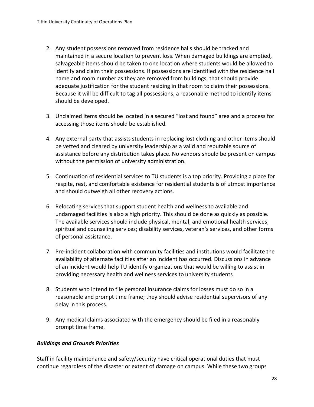- 2. Any student possessions removed from residence halls should be tracked and maintained in a secure location to prevent loss. When damaged buildings are emptied, salvageable items should be taken to one location where students would be allowed to identify and claim their possessions. If possessions are identified with the residence hall name and room number as they are removed from buildings, that should provide adequate justification for the student residing in that room to claim their possessions. Because it will be difficult to tag all possessions, a reasonable method to identify items should be developed.
- 3. Unclaimed items should be located in a secured "lost and found" area and a process for accessing those items should be established.
- 4. Any external party that assists students in replacing lost clothing and other items should be vetted and cleared by university leadership as a valid and reputable source of assistance before any distribution takes place. No vendors should be present on campus without the permission of university administration.
- 5. Continuation of residential services to TU students is a top priority. Providing a place for respite, rest, and comfortable existence for residential students is of utmost importance and should outweigh all other recovery actions.
- 6. Relocating services that support student health and wellness to available and undamaged facilities is also a high priority. This should be done as quickly as possible. The available services should include physical, mental, and emotional health services; spiritual and counseling services; disability services, veteran's services, and other forms of personal assistance.
- 7. Pre-incident collaboration with community facilities and institutions would facilitate the availability of alternate facilities after an incident has occurred. Discussions in advance of an incident would help TU identify organizations that would be willing to assist in providing necessary health and wellness services to university students
- 8. Students who intend to file personal insurance claims for losses must do so in a reasonable and prompt time frame; they should advise residential supervisors of any delay in this process.
- 9. Any medical claims associated with the emergency should be filed in a reasonably prompt time frame.

## <span id="page-28-0"></span>*Buildings and Grounds Priorities*

Staff in facility maintenance and safety/security have critical operational duties that must continue regardless of the disaster or extent of damage on campus. While these two groups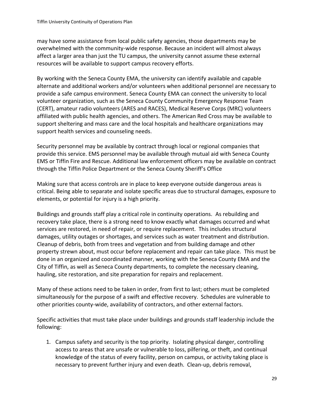may have some assistance from local public safety agencies, those departments may be overwhelmed with the community-wide response. Because an incident will almost always affect a larger area than just the TU campus, the university cannot assume these external resources will be available to support campus recovery efforts.

By working with the Seneca County EMA, the university can identify available and capable alternate and additional workers and/or volunteers when additional personnel are necessary to provide a safe campus environment. Seneca County EMA can connect the university to local volunteer organization, such as the Seneca County Community Emergency Response Team (CERT), amateur radio volunteers (ARES and RACES), Medical Reserve Corps (MRC) volunteers affiliated with public health agencies, and others. The American Red Cross may be available to support sheltering and mass care and the local hospitals and healthcare organizations may support health services and counseling needs.

Security personnel may be available by contract through local or regional companies that provide this service. EMS personnel may be available through mutual aid with Seneca County EMS or Tiffin Fire and Rescue. Additional law enforcement officers may be available on contract through the Tiffin Police Department or the Seneca County Sheriff's Office

Making sure that access controls are in place to keep everyone outside dangerous areas is critical. Being able to separate and isolate specific areas due to structural damages, exposure to elements, or potential for injury is a high priority.

Buildings and grounds staff play a critical role in continuity operations. As rebuilding and recovery take place, there is a strong need to know exactly what damages occurred and what services are restored, in need of repair, or require replacement. This includes structural damages, utility outages or shortages, and services such as water treatment and distribution. Cleanup of debris, both from trees and vegetation and from building damage and other property strewn about, must occur before replacement and repair can take place. This must be done in an organized and coordinated manner, working with the Seneca County EMA and the City of Tiffin, as well as Seneca County departments, to complete the necessary cleaning, hauling, site restoration, and site preparation for repairs and replacement.

Many of these actions need to be taken in order, from first to last; others must be completed simultaneously for the purpose of a swift and effective recovery. Schedules are vulnerable to other priorities county-wide, availability of contractors, and other external factors.

Specific activities that must take place under buildings and grounds staff leadership include the following:

1. Campus safety and security is the top priority. Isolating physical danger, controlling access to areas that are unsafe or vulnerable to loss, pilfering, or theft, and continual knowledge of the status of every facility, person on campus, or activity taking place is necessary to prevent further injury and even death. Clean-up, debris removal,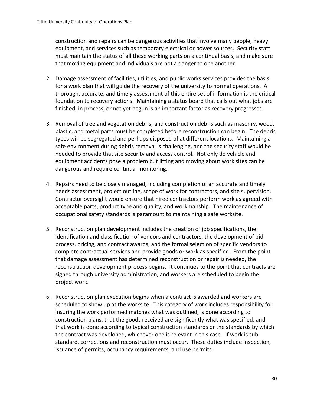construction and repairs can be dangerous activities that involve many people, heavy equipment, and services such as temporary electrical or power sources. Security staff must maintain the status of all these working parts on a continual basis, and make sure that moving equipment and individuals are not a danger to one another.

- 2. Damage assessment of facilities, utilities, and public works services provides the basis for a work plan that will guide the recovery of the university to normal operations. A thorough, accurate, and timely assessment of this entire set of information is the critical foundation to recovery actions. Maintaining a status board that calls out what jobs are finished, in process, or not yet begun is an important factor as recovery progresses.
- 3. Removal of tree and vegetation debris, and construction debris such as masonry, wood, plastic, and metal parts must be completed before reconstruction can begin. The debris types will be segregated and perhaps disposed of at different locations. Maintaining a safe environment during debris removal is challenging, and the security staff would be needed to provide that site security and access control. Not only do vehicle and equipment accidents pose a problem but lifting and moving about work sites can be dangerous and require continual monitoring.
- 4. Repairs need to be closely managed, including completion of an accurate and timely needs assessment, project outline, scope of work for contractors, and site supervision. Contractor oversight would ensure that hired contractors perform work as agreed with acceptable parts, product type and quality, and workmanship. The maintenance of occupational safety standards is paramount to maintaining a safe worksite.
- 5. Reconstruction plan development includes the creation of job specifications, the identification and classification of vendors and contractors, the development of bid process, pricing, and contract awards, and the formal selection of specific vendors to complete contractual services and provide goods or work as specified. From the point that damage assessment has determined reconstruction or repair is needed, the reconstruction development process begins. It continues to the point that contracts are signed through university administration, and workers are scheduled to begin the project work.
- 6. Reconstruction plan execution begins when a contract is awarded and workers are scheduled to show up at the worksite. This category of work includes responsibility for insuring the work performed matches what was outlined, is done according to construction plans, that the goods received are significantly what was specified, and that work is done according to typical construction standards or the standards by which the contract was developed, whichever one is relevant in this case. If work is substandard, corrections and reconstruction must occur. These duties include inspection, issuance of permits, occupancy requirements, and use permits.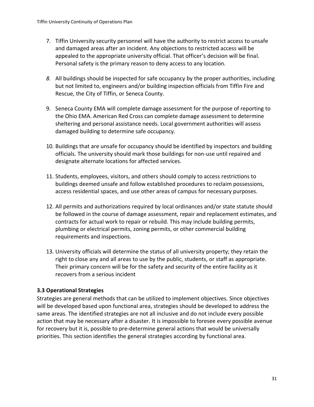- 7. Tiffin University security personnel will have the authority to restrict access to unsafe and damaged areas after an incident. Any objections to restricted access will be appealed to the appropriate university official. That officer's decision will be final. Personal safety is the primary reason to deny access to any location.
- *8.* All buildings should be inspected for safe occupancy by the proper authorities, including but not limited to, engineers and/or building inspection officials from Tiffin Fire and Rescue, the City of Tiffin, or Seneca County.
- 9. Seneca County EMA will complete damage assessment for the purpose of reporting to the Ohio EMA. American Red Cross can complete damage assessment to determine sheltering and personal assistance needs. Local government authorities will assess damaged building to determine safe occupancy.
- 10. Buildings that are unsafe for occupancy should be identified by inspectors and building officials. The university should mark those buildings for non-use until repaired and designate alternate locations for affected services.
- 11. Students, employees, visitors, and others should comply to access restrictions to buildings deemed unsafe and follow established procedures to reclaim possessions, access residential spaces, and use other areas of campus for necessary purposes.
- 12. All permits and authorizations required by local ordinances and/or state statute should be followed in the course of damage assessment, repair and replacement estimates, and contracts for actual work to repair or rebuild. This may include building permits, plumbing or electrical permits, zoning permits, or other commercial building requirements and inspections.
- 13. University officials will determine the status of all university property; they retain the right to close any and all areas to use by the public, students, or staff as appropriate. Their primary concern will be for the safety and security of the entire facility as it recovers from a serious incident

## <span id="page-31-0"></span>**3.3 Operational Strategies**

Strategies are general methods that can be utilized to implement objectives. Since objectives will be developed based upon functional area, strategies should be developed to address the same areas. The identified strategies are not all inclusive and do not include every possible action that may be necessary after a disaster. It is impossible to foresee every possible avenue for recovery but it is, possible to pre-determine general actions that would be universally priorities. This section identifies the general strategies according by functional area.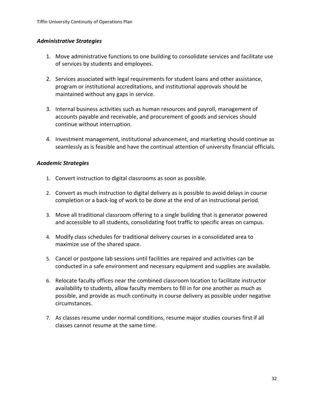#### <span id="page-32-0"></span>*Administrative Strategies*

- 1. Move administrative functions to one building to consolidate services and facilitate use of services by students and employees.
- 2. Services associated with legal requirements for student loans and other assistance, program or institutional accreditations, and institutional approvals should be maintained without any gaps in service.
- 3. Internal business activities such as human resources and payroll, management of accounts payable and receivable, and procurement of goods and services should continue without interruption.
- 4. Investment management, institutional advancement, and marketing should continue as seamlessly as is feasible and have the continual attention of university financial officials.

#### <span id="page-32-1"></span>*Academic Strategies*

- 1. Convert instruction to digital classrooms as soon as possible.
- 2. Convert as much instruction to digital delivery as is possible to avoid delays in course completion or a back-log of work to be done at the end of an instructional period.
- 3. Move all traditional classroom offering to a single building that is generator powered and accessible to all students, consolidating foot traffic to specific areas on campus.
- 4. Modify class schedules for traditional delivery courses in a consolidated area to maximize use of the shared space.
- 5. Cancel or postpone lab sessions until facilities are repaired and activities can be conducted in a safe environment and necessary equipment and supplies are available.
- 6. Relocate faculty offices near the combined classroom location to facilitate instructor availability to students, allow faculty members to fill in for one another as much as possible, and provide as much continuity in course delivery as possible under negative circumstances.
- 7. As classes resume under normal conditions, resume major studies courses first if all classes cannot resume at the same time.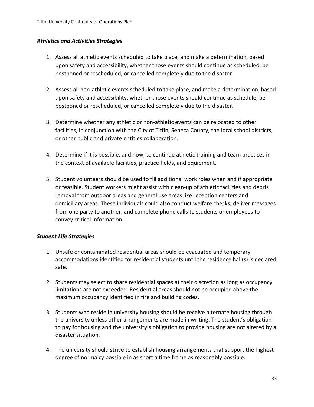#### <span id="page-33-0"></span>*Athletics and Activities Strategies*

- 1. Assess all athletic events scheduled to take place, and make a determination, based upon safety and accessibility, whether those events should continue as scheduled, be postponed or rescheduled, or cancelled completely due to the disaster.
- 2. Assess all non-athletic events scheduled to take place, and make a determination, based upon safety and accessibility, whether those events should continue as schedule, be postponed or rescheduled, or cancelled completely due to the disaster.
- 3. Determine whether any athletic or non-athletic events can be relocated to other facilities, in conjunction with the City of Tiffin, Seneca County, the local school districts, or other public and private entities collaboration.
- 4. Determine if it is possible, and how, to continue athletic training and team practices in the context of available facilities, practice fields, and equipment.
- 5. Student volunteers should be used to fill additional work roles when and if appropriate or feasible. Student workers might assist with clean-up of athletic facilities and debris removal from outdoor areas and general use areas like reception centers and domiciliary areas. These individuals could also conduct welfare checks, deliver messages from one party to another, and complete phone calls to students or employees to convey critical information.

## <span id="page-33-1"></span>*Student Life Strategies*

- 1. Unsafe or contaminated residential areas should be evacuated and temporary accommodations identified for residential students until the residence hall(s) is declared safe.
- 2. Students may select to share residential spaces at their discretion as long as occupancy limitations are not exceeded. Residential areas should not be occupied above the maximum occupancy identified in fire and building codes.
- 3. Students who reside in university housing should be receive alternate housing through the university unless other arrangements are made in writing. The student's obligation to pay for housing and the university's obligation to provide housing are not altered by a disaster situation.
- 4. The university should strive to establish housing arrangements that support the highest degree of normalcy possible in as short a time frame as reasonably possible.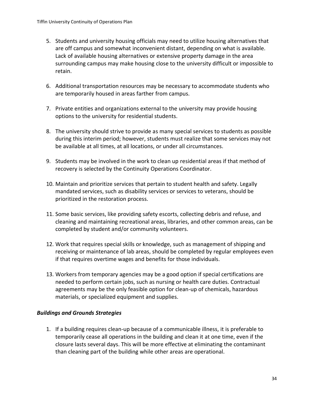- 5. Students and university housing officials may need to utilize housing alternatives that are off campus and somewhat inconvenient distant, depending on what is available. Lack of available housing alternatives or extensive property damage in the area surrounding campus may make housing close to the university difficult or impossible to retain.
- 6. Additional transportation resources may be necessary to accommodate students who are temporarily housed in areas farther from campus.
- 7. Private entities and organizations external to the university may provide housing options to the university for residential students.
- 8. The university should strive to provide as many special services to students as possible during this interim period; however, students must realize that some services may not be available at all times, at all locations, or under all circumstances.
- 9. Students may be involved in the work to clean up residential areas if that method of recovery is selected by the Continuity Operations Coordinator.
- 10. Maintain and prioritize services that pertain to student health and safety. Legally mandated services, such as disability services or services to veterans, should be prioritized in the restoration process.
- 11. Some basic services, like providing safety escorts, collecting debris and refuse, and cleaning and maintaining recreational areas, libraries, and other common areas, can be completed by student and/or community volunteers.
- 12. Work that requires special skills or knowledge, such as management of shipping and receiving or maintenance of lab areas, should be completed by regular employees even if that requires overtime wages and benefits for those individuals.
- 13. Workers from temporary agencies may be a good option if special certifications are needed to perform certain jobs, such as nursing or health care duties. Contractual agreements may be the only feasible option for clean-up of chemicals, hazardous materials, or specialized equipment and supplies.

## <span id="page-34-0"></span>*Buildings and Grounds Strategies*

1. If a building requires clean-up because of a communicable illness, it is preferable to temporarily cease all operations in the building and clean it at one time, even if the closure lasts several days. This will be more effective at eliminating the contaminant than cleaning part of the building while other areas are operational.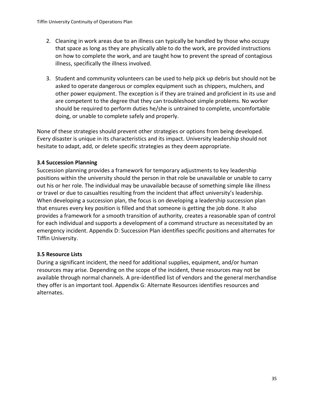- 2. Cleaning in work areas due to an illness can typically be handled by those who occupy that space as long as they are physically able to do the work, are provided instructions on how to complete the work, and are taught how to prevent the spread of contagious illness, specifically the illness involved.
- 3. Student and community volunteers can be used to help pick up debris but should not be asked to operate dangerous or complex equipment such as chippers, mulchers, and other power equipment. The exception is if they are trained and proficient in its use and are competent to the degree that they can troubleshoot simple problems. No worker should be required to perform duties he/she is untrained to complete, uncomfortable doing, or unable to complete safely and properly.

None of these strategies should prevent other strategies or options from being developed. Every disaster is unique in its characteristics and its impact. University leadership should not hesitate to adapt, add, or delete specific strategies as they deem appropriate.

## <span id="page-35-0"></span>**3.4 Succession Planning**

Succession planning provides a framework for temporary adjustments to key leadership positions within the university should the person in that role be unavailable or unable to carry out his or her role. The individual may be unavailable because of something simple like illness or travel or due to casualties resulting from the incident that affect university's leadership. When developing a succession plan, the focus is on developing a leadership succession plan that ensures every key position is filled and that someone is getting the job done. It also provides a framework for a smooth transition of authority, creates a reasonable span of control for each individual and supports a development of a command structure as necessitated by an emergency incident. Appendix D: Succession Plan identifies specific positions and alternates for Tiffin University.

## <span id="page-35-1"></span>**3.5 Resource Lists**

During a significant incident, the need for additional supplies, equipment, and/or human resources may arise. Depending on the scope of the incident, these resources may not be available through normal channels. A pre-identified list of vendors and the general merchandise they offer is an important tool. Appendix G: Alternate Resources identifies resources and alternates.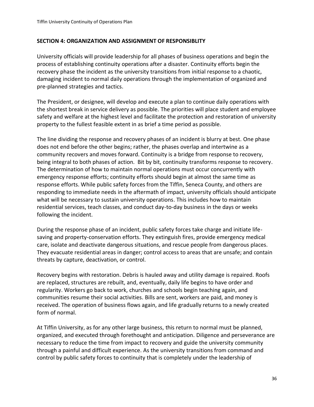#### <span id="page-36-0"></span>**SECTION 4: ORGANIZATION AND ASSIGNMENT OF RESPONSIBLITY**

University officials will provide leadership for all phases of business operations and begin the process of establishing continuity operations after a disaster. Continuity efforts begin the recovery phase the incident as the university transitions from initial response to a chaotic, damaging incident to normal daily operations through the implementation of organized and pre-planned strategies and tactics.

The President, or designee, will develop and execute a plan to continue daily operations with the shortest break in service delivery as possible. The priorities will place student and employee safety and welfare at the highest level and facilitate the protection and restoration of university property to the fullest feasible extent in as brief a time period as possible.

The line dividing the response and recovery phases of an incident is blurry at best. One phase does not end before the other begins; rather, the phases overlap and intertwine as a community recovers and moves forward. Continuity is a bridge from response to recovery, being integral to both phases of action. Bit by bit, continuity transforms response to recovery. The determination of how to maintain normal operations must occur concurrently with emergency response efforts; continuity efforts should begin at almost the same time as response efforts. While public safety forces from the Tiffin, Seneca County, and others are responding to immediate needs in the aftermath of impact, university officials should anticipate what will be necessary to sustain university operations. This includes how to maintain residential services, teach classes, and conduct day-to-day business in the days or weeks following the incident.

During the response phase of an incident, public safety forces take charge and initiate lifesaving and property-conservation efforts. They extinguish fires, provide emergency medical care, isolate and deactivate dangerous situations, and rescue people from dangerous places. They evacuate residential areas in danger; control access to areas that are unsafe; and contain threats by capture, deactivation, or control.

Recovery begins with restoration. Debris is hauled away and utility damage is repaired. Roofs are replaced, structures are rebuilt, and, eventually, daily life begins to have order and regularity. Workers go back to work, churches and schools begin teaching again, and communities resume their social activities. Bills are sent, workers are paid, and money is received. The operation of business flows again, and life gradually returns to a newly created form of normal.

At Tiffin University, as for any other large business, this return to normal must be planned, organized, and executed through forethought and anticipation. Diligence and perseverance are necessary to reduce the time from impact to recovery and guide the university community through a painful and difficult experience. As the university transitions from command and control by public safety forces to continuity that is completely under the leadership of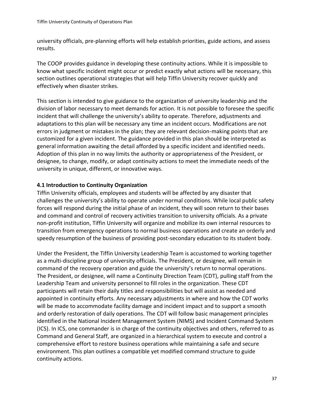university officials, pre-planning efforts will help establish priorities, guide actions, and assess results.

The COOP provides guidance in developing these continuity actions. While it is impossible to know what specific incident might occur or predict exactly what actions will be necessary, this section outlines operational strategies that will help Tiffin University recover quickly and effectively when disaster strikes.

This section is intended to give guidance to the organization of university leadership and the division of labor necessary to meet demands for action. It is not possible to foresee the specific incident that will challenge the university's ability to operate. Therefore, adjustments and adaptations to this plan will be necessary any time an incident occurs. Modifications are not errors in judgment or mistakes in the plan; they are relevant decision-making points that are customized for a given incident. The guidance provided in this plan should be interpreted as general information awaiting the detail afforded by a specific incident and identified needs. Adoption of this plan in no way limits the authority or appropriateness of the President, or designee, to change, modify, or adapt continuity actions to meet the immediate needs of the university in unique, different, or innovative ways.

## <span id="page-37-0"></span>**4.1 Introduction to Continuity Organization**

Tiffin University officials, employees and students will be affected by any disaster that challenges the university's ability to operate under normal conditions. While local public safety forces will respond during the initial phase of an incident, they will soon return to their bases and command and control of recovery activities transition to university officials. As a private non-profit institution, Tiffin University will organize and mobilize its own internal resources to transition from emergency operations to normal business operations and create an orderly and speedy resumption of the business of providing post-secondary education to its student body.

Under the President, the Tiffin University Leadership Team is accustomed to working together as a multi-discipline group of university officials. The President, or designee, will remain in command of the recovery operation and guide the university's return to normal operations. The President, or designee, will name a Continuity Direction Team (CDT), pulling staff from the Leadership Team and university personnel to fill roles in the organization. These CDT participants will retain their daily titles and responsibilities but will assist as needed and appointed in continuity efforts. Any necessary adjustments in where and how the CDT works will be made to accommodate facility damage and incident impact and to support a smooth and orderly restoration of daily operations. The CDT will follow basic management principles identified in the National Incident Management System (NIMS) and Incident Command System (ICS). In ICS, one commander is in charge of the continuity objectives and others, referred to as Command and General Staff, are organized in a hierarchical system to execute and control a comprehensive effort to restore business operations while maintaining a safe and secure environment. This plan outlines a compatible yet modified command structure to guide continuity actions.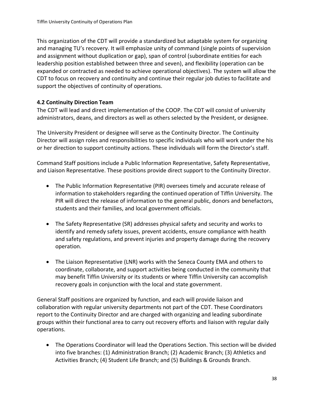This organization of the CDT will provide a standardized but adaptable system for organizing and managing TU's recovery. It will emphasize unity of command (single points of supervision and assignment without duplication or gap), span of control (subordinate entities for each leadership position established between three and seven), and flexibility (operation can be expanded or contracted as needed to achieve operational objectives). The system will allow the CDT to focus on recovery and continuity and continue their regular job duties to facilitate and support the objectives of continuity of operations.

# <span id="page-38-0"></span>**4.2 Continuity Direction Team**

The CDT will lead and direct implementation of the COOP. The CDT will consist of university administrators, deans, and directors as well as others selected by the President, or designee.

The University President or designee will serve as the Continuity Director. The Continuity Director will assign roles and responsibilities to specific individuals who will work under the his or her direction to support continuity actions. These individuals will form the Director's staff.

Command Staff positions include a Public Information Representative, Safety Representative, and Liaison Representative. These positions provide direct support to the Continuity Director.

- The Public Information Representative (PIR) oversees timely and accurate release of information to stakeholders regarding the continued operation of Tiffin University. The PIR will direct the release of information to the general public, donors and benefactors, students and their families, and local government officials.
- The Safety Representative (SR) addresses physical safety and security and works to identify and remedy safety issues, prevent accidents, ensure compliance with health and safety regulations, and prevent injuries and property damage during the recovery operation.
- The Liaison Representative (LNR) works with the Seneca County EMA and others to coordinate, collaborate, and support activities being conducted in the community that may benefit Tiffin University or its students or where Tiffin University can accomplish recovery goals in conjunction with the local and state government.

General Staff positions are organized by function, and each will provide liaison and collaboration with regular university departments not part of the CDT. These Coordinators report to the Continuity Director and are charged with organizing and leading subordinate groups within their functional area to carry out recovery efforts and liaison with regular daily operations.

• The Operations Coordinator will lead the Operations Section. This section will be divided into five branches: (1) Administration Branch; (2) Academic Branch; (3) Athletics and Activities Branch; (4) Student Life Branch; and (5) Buildings & Grounds Branch.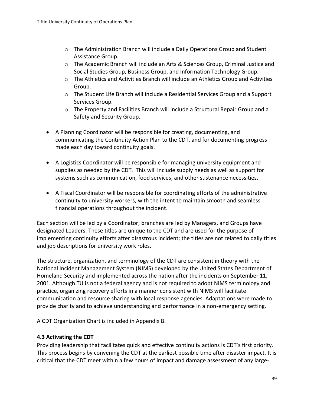- $\circ$  The Administration Branch will include a Daily Operations Group and Student Assistance Group.
- o The Academic Branch will include an Arts & Sciences Group, Criminal Justice and Social Studies Group, Business Group, and Information Technology Group.
- o The Athletics and Activities Branch will include an Athletics Group and Activities Group.
- $\circ$  The Student Life Branch will include a Residential Services Group and a Support Services Group.
- $\circ$  The Property and Facilities Branch will include a Structural Repair Group and a Safety and Security Group.
- A Planning Coordinator will be responsible for creating, documenting, and communicating the Continuity Action Plan to the CDT, and for documenting progress made each day toward continuity goals.
- A Logistics Coordinator will be responsible for managing university equipment and supplies as needed by the CDT. This will include supply needs as well as support for systems such as communication, food services, and other sustenance necessities.
- A Fiscal Coordinator will be responsible for coordinating efforts of the administrative continuity to university workers, with the intent to maintain smooth and seamless financial operations throughout the incident.

Each section will be led by a Coordinator; branches are led by Managers, and Groups have designated Leaders. These titles are unique to the CDT and are used for the purpose of implementing continuity efforts after disastrous incident; the titles are not related to daily titles and job descriptions for university work roles.

The structure, organization, and terminology of the CDT are consistent in theory with the National Incident Management System (NIMS) developed by the United States Department of Homeland Security and implemented across the nation after the incidents on September 11, 2001. Although TU is not a federal agency and is not required to adopt NIMS terminology and practice, organizing recovery efforts in a manner consistent with NIMS will facilitate communication and resource sharing with local response agencies. Adaptations were made to provide charity and to achieve understanding and performance in a non-emergency setting.

A CDT Organization Chart is included in Appendix B.

# <span id="page-39-0"></span>**4.3 Activating the CDT**

Providing leadership that facilitates quick and effective continuity actions is CDT's first priority. This process begins by convening the CDT at the earliest possible time after disaster impact. It is critical that the CDT meet within a few hours of impact and damage assessment of any large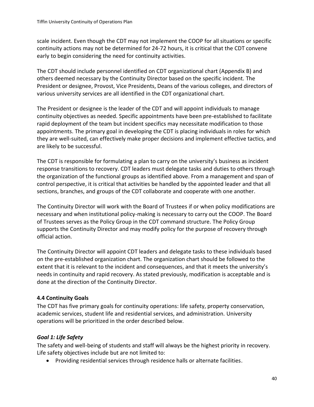scale incident. Even though the CDT may not implement the COOP for all situations or specific continuity actions may not be determined for 24-72 hours, it is critical that the CDT convene early to begin considering the need for continuity activities.

The CDT should include personnel identified on CDT organizational chart (Appendix B) and others deemed necessary by the Continuity Director based on the specific incident. The President or designee, Provost, Vice Presidents, Deans of the various colleges, and directors of various university services are all identified in the CDT organizational chart.

The President or designee is the leader of the CDT and will appoint individuals to manage continuity objectives as needed. Specific appointments have been pre-established to facilitate rapid deployment of the team but incident specifics may necessitate modification to those appointments. The primary goal in developing the CDT is placing individuals in roles for which they are well-suited, can effectively make proper decisions and implement effective tactics, and are likely to be successful.

The CDT is responsible for formulating a plan to carry on the university's business as incident response transitions to recovery. CDT leaders must delegate tasks and duties to others through the organization of the functional groups as identified above. From a management and span of control perspective, it is critical that activities be handled by the appointed leader and that all sections, branches, and groups of the CDT collaborate and cooperate with one another.

The Continuity Director will work with the Board of Trustees if or when policy modifications are necessary and when institutional policy-making is necessary to carry out the COOP. The Board of Trustees serves as the Policy Group in the CDT command structure. The Policy Group supports the Continuity Director and may modify policy for the purpose of recovery through official action.

The Continuity Director will appoint CDT leaders and delegate tasks to these individuals based on the pre-established organization chart. The organization chart should be followed to the extent that it is relevant to the incident and consequences, and that it meets the university's needs in continuity and rapid recovery. As stated previously, modification is acceptable and is done at the direction of the Continuity Director.

## <span id="page-40-0"></span>**4.4 Continuity Goals**

The CDT has five primary goals for continuity operations: life safety, property conservation, academic services, student life and residential services, and administration. University operations will be prioritized in the order described below.

# <span id="page-40-1"></span>*Goal 1: Life Safety*

The safety and well-being of students and staff will always be the highest priority in recovery. Life safety objectives include but are not limited to:

• Providing residential services through residence halls or alternate facilities.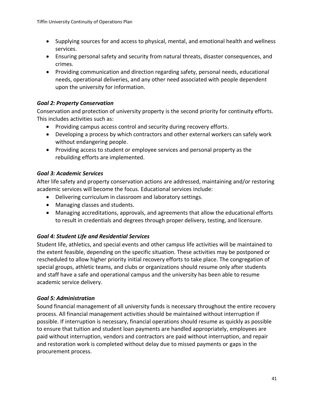- Supplying sources for and access to physical, mental, and emotional health and wellness services.
- Ensuring personal safety and security from natural threats, disaster consequences, and crimes.
- Providing communication and direction regarding safety, personal needs, educational needs, operational deliveries, and any other need associated with people dependent upon the university for information.

## <span id="page-41-0"></span>*Goal 2: Property Conservation*

Conservation and protection of university property is the second priority for continuity efforts. This includes activities such as:

- Providing campus access control and security during recovery efforts.
- Developing a process by which contractors and other external workers can safely work without endangering people.
- Providing access to student or employee services and personal property as the rebuilding efforts are implemented.

## <span id="page-41-1"></span>*Goal 3: Academic Services*

After life safety and property conservation actions are addressed, maintaining and/or restoring academic services will become the focus. Educational services include:

- Delivering curriculum in classroom and laboratory settings.
- Managing classes and students.
- Managing accreditations, approvals, and agreements that allow the educational efforts to result in credentials and degrees through proper delivery, testing, and licensure.

#### <span id="page-41-2"></span>*Goal 4: Student Life and Residential Services*

Student life, athletics, and special events and other campus life activities will be maintained to the extent feasible, depending on the specific situation. These activities may be postponed or rescheduled to allow higher priority initial recovery efforts to take place. The congregation of special groups, athletic teams, and clubs or organizations should resume only after students and staff have a safe and operational campus and the university has been able to resume academic service delivery.

#### <span id="page-41-3"></span>*Goal 5: Administration*

Sound financial management of all university funds is necessary throughout the entire recovery process. All financial management activities should be maintained without interruption if possible. If interruption is necessary, financial operations should resume as quickly as possible to ensure that tuition and student loan payments are handled appropriately, employees are paid without interruption, vendors and contractors are paid without interruption, and repair and restoration work is completed without delay due to missed payments or gaps in the procurement process.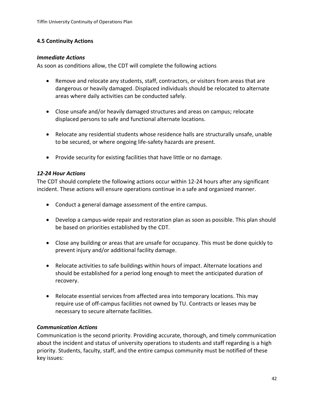#### <span id="page-42-0"></span>**4.5 Continuity Actions**

#### <span id="page-42-1"></span>*Immediate Actions*

As soon as conditions allow, the CDT will complete the following actions

- Remove and relocate any students, staff, contractors, or visitors from areas that are dangerous or heavily damaged. Displaced individuals should be relocated to alternate areas where daily activities can be conducted safely.
- Close unsafe and/or heavily damaged structures and areas on campus; relocate displaced persons to safe and functional alternate locations.
- Relocate any residential students whose residence halls are structurally unsafe, unable to be secured, or where ongoing life-safety hazards are present.
- Provide security for existing facilities that have little or no damage.

#### <span id="page-42-2"></span>*12-24 Hour Actions*

The CDT should complete the following actions occur within 12-24 hours after any significant incident. These actions will ensure operations continue in a safe and organized manner.

- Conduct a general damage assessment of the entire campus.
- Develop a campus-wide repair and restoration plan as soon as possible. This plan should be based on priorities established by the CDT.
- Close any building or areas that are unsafe for occupancy. This must be done quickly to prevent injury and/or additional facility damage.
- Relocate activities to safe buildings within hours of impact. Alternate locations and should be established for a period long enough to meet the anticipated duration of recovery.
- Relocate essential services from affected area into temporary locations. This may require use of off-campus facilities not owned by TU. Contracts or leases may be necessary to secure alternate facilities.

#### <span id="page-42-3"></span>*Communication Actions*

Communication is the second priority. Providing accurate, thorough, and timely communication about the incident and status of university operations to students and staff regarding is a high priority. Students, faculty, staff, and the entire campus community must be notified of these key issues: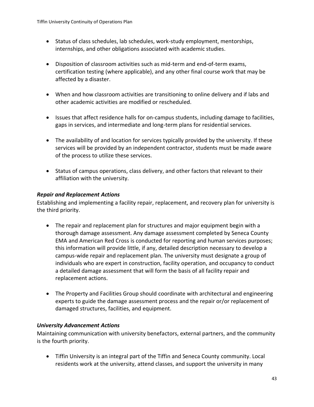- Status of class schedules, lab schedules, work-study employment, mentorships, internships, and other obligations associated with academic studies.
- Disposition of classroom activities such as mid-term and end-of-term exams, certification testing (where applicable), and any other final course work that may be affected by a disaster.
- When and how classroom activities are transitioning to online delivery and if labs and other academic activities are modified or rescheduled.
- Issues that affect residence halls for on-campus students, including damage to facilities, gaps in services, and intermediate and long-term plans for residential services.
- The availability of and location for services typically provided by the university. If these services will be provided by an independent contractor, students must be made aware of the process to utilize these services.
- Status of campus operations, class delivery, and other factors that relevant to their affiliation with the university.

#### <span id="page-43-0"></span>*Repair and Replacement Actions*

Establishing and implementing a facility repair, replacement, and recovery plan for university is the third priority.

- The repair and replacement plan for structures and major equipment begin with a thorough damage assessment. Any damage assessment completed by Seneca County EMA and American Red Cross is conducted for reporting and human services purposes; this information will provide little, if any, detailed description necessary to develop a campus-wide repair and replacement plan. The university must designate a group of individuals who are expert in construction, facility operation, and occupancy to conduct a detailed damage assessment that will form the basis of all facility repair and replacement actions.
- The Property and Facilities Group should coordinate with architectural and engineering experts to guide the damage assessment process and the repair or/or replacement of damaged structures, facilities, and equipment.

#### <span id="page-43-1"></span>*University Advancement Actions*

Maintaining communication with university benefactors, external partners, and the community is the fourth priority.

• Tiffin University is an integral part of the Tiffin and Seneca County community. Local residents work at the university, attend classes, and support the university in many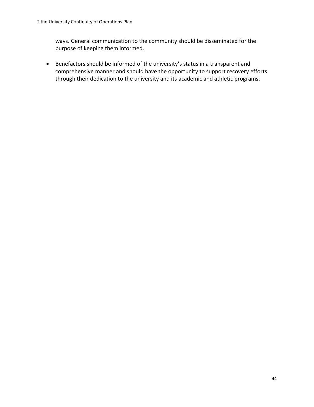ways. General communication to the community should be disseminated for the purpose of keeping them informed.

• Benefactors should be informed of the university's status in a transparent and comprehensive manner and should have the opportunity to support recovery efforts through their dedication to the university and its academic and athletic programs.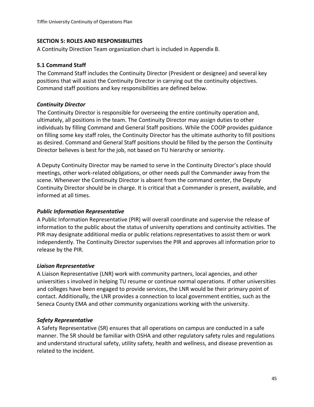#### <span id="page-45-0"></span>**SECTION 5: ROLES AND RESPONSIBILITIES**

A Continuity Direction Team organization chart is included in Appendix B.

#### <span id="page-45-1"></span>**5.1 Command Staff**

The Command Staff includes the Continuity Director (President or designee) and several key positions that will assist the Continuity Director in carrying out the continuity objectives. Command staff positions and key responsibilities are defined below.

#### <span id="page-45-2"></span>*Continuity Director*

The Continuity Director is responsible for overseeing the entire continuity operation and, ultimately, all positions in the team. The Continuity Director may assign duties to other individuals by filling Command and General Staff positions. While the COOP provides guidance on filling some key staff roles, the Continuity Director has the ultimate authority to fill positions as desired. Command and General Staff positions should be filled by the person the Continuity Director believes is best for the job, not based on TU hierarchy or seniority.

A Deputy Continuity Director may be named to serve in the Continuity Director's place should meetings, other work-related obligations, or other needs pull the Commander away from the scene. Whenever the Continuity Director is absent from the command center, the Deputy Continuity Director should be in charge. It is critical that a Commander is present, available, and informed at all times.

#### <span id="page-45-3"></span>*Public Information Representative*

A Public Information Representative (PIR) will overall coordinate and supervise the release of information to the public about the status of university operations and continuity activities. The PIR may designate additional media or public relations representatives to assist them or work independently. The Continuity Director supervises the PIR and approves all information prior to release by the PIR.

#### <span id="page-45-4"></span>*Liaison Representative*

A Liaison Representative (LNR) work with community partners, local agencies, and other universities s involved in helping TU resume or continue normal operations. If other universities and colleges have been engaged to provide services, the LNR would be their primary point of contact. Additionally, the LNR provides a connection to local government entities, such as the Seneca County EMA and other community organizations working with the university.

## <span id="page-45-5"></span>*Safety Representative*

A Safety Representative (SR) ensures that all operations on campus are conducted in a safe manner. The SR should be familiar with OSHA and other regulatory safety rules and regulations and understand structural safety, utility safety, health and wellness, and disease prevention as related to the incident.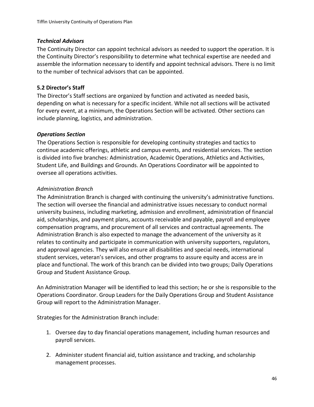#### <span id="page-46-0"></span>*Technical Advisors*

The Continuity Director can appoint technical advisors as needed to support the operation. It is the Continuity Director's responsibility to determine what technical expertise are needed and assemble the information necessary to identify and appoint technical advisors. There is no limit to the number of technical advisors that can be appointed.

#### <span id="page-46-1"></span>**5.2 Director's Staff**

The Director's Staff sections are organized by function and activated as needed basis, depending on what is necessary for a specific incident. While not all sections will be activated for every event, at a minimum, the Operations Section will be activated. Other sections can include planning, logistics, and administration.

#### <span id="page-46-2"></span>*Operations Section*

The Operations Section is responsible for developing continuity strategies and tactics to continue academic offerings, athletic and campus events, and residential services. The section is divided into five branches: Administration, Academic Operations, Athletics and Activities, Student Life, and Buildings and Grounds. An Operations Coordinator will be appointed to oversee all operations activities.

#### *Administration Branch*

The Administration Branch is charged with continuing the university's administrative functions. The section will oversee the financial and administrative issues necessary to conduct normal university business, including marketing, admission and enrollment, administration of financial aid, scholarships, and payment plans, accounts receivable and payable, payroll and employee compensation programs, and procurement of all services and contractual agreements. The Administration Branch is also expected to manage the advancement of the university as it relates to continuity and participate in communication with university supporters, regulators, and approval agencies. They will also ensure all disabilities and special needs, international student services, veteran's services, and other programs to assure equity and access are in place and functional. The work of this branch can be divided into two groups; Daily Operations Group and Student Assistance Group.

An Administration Manager will be identified to lead this section; he or she is responsible to the Operations Coordinator. Group Leaders for the Daily Operations Group and Student Assistance Group will report to the Administration Manager.

Strategies for the Administration Branch include:

- 1. Oversee day to day financial operations management, including human resources and payroll services.
- 2. Administer student financial aid, tuition assistance and tracking, and scholarship management processes.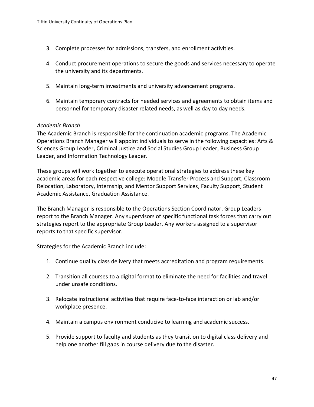- 3. Complete processes for admissions, transfers, and enrollment activities.
- 4. Conduct procurement operations to secure the goods and services necessary to operate the university and its departments.
- 5. Maintain long-term investments and university advancement programs.
- 6. Maintain temporary contracts for needed services and agreements to obtain items and personnel for temporary disaster related needs, as well as day to day needs.

#### *Academic Branch*

The Academic Branch is responsible for the continuation academic programs. The Academic Operations Branch Manager will appoint individuals to serve in the following capacities: Arts & Sciences Group Leader, Criminal Justice and Social Studies Group Leader, Business Group Leader, and Information Technology Leader.

These groups will work together to execute operational strategies to address these key academic areas for each respective college: Moodle Transfer Process and Support, Classroom Relocation, Laboratory, Internship, and Mentor Support Services, Faculty Support, Student Academic Assistance, Graduation Assistance.

The Branch Manager is responsible to the Operations Section Coordinator. Group Leaders report to the Branch Manager. Any supervisors of specific functional task forces that carry out strategies report to the appropriate Group Leader. Any workers assigned to a supervisor reports to that specific supervisor.

Strategies for the Academic Branch include:

- 1. Continue quality class delivery that meets accreditation and program requirements.
- 2. Transition all courses to a digital format to eliminate the need for facilities and travel under unsafe conditions.
- 3. Relocate instructional activities that require face-to-face interaction or lab and/or workplace presence.
- 4. Maintain a campus environment conducive to learning and academic success.
- 5. Provide support to faculty and students as they transition to digital class delivery and help one another fill gaps in course delivery due to the disaster.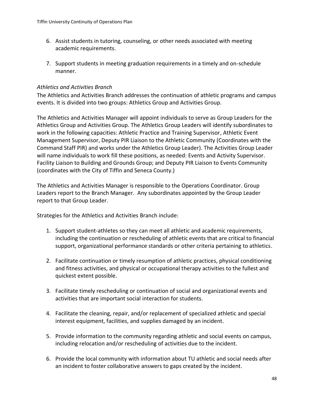- 6. Assist students in tutoring, counseling, or other needs associated with meeting academic requirements.
- 7. Support students in meeting graduation requirements in a timely and on-schedule manner.

#### *Athletics and Activities Branch*

The Athletics and Activities Branch addresses the continuation of athletic programs and campus events. It is divided into two groups: Athletics Group and Activities Group.

The Athletics and Activities Manager will appoint individuals to serve as Group Leaders for the Athletics Group and Activities Group. The Athletics Group Leaders will identify subordinates to work in the following capacities: Athletic Practice and Training Supervisor, Athletic Event Management Supervisor, Deputy PIR Liaison to the Athletic Community (Coordinates with the Command Staff PIR) and works under the Athletics Group Leader). The Activities Group Leader will name individuals to work fill these positions, as needed: Events and Activity Supervisor. Facility Liaison to Building and Grounds Group; and Deputy PIR Liaison to Events Community (coordinates with the City of Tiffin and Seneca County.)

The Athletics and Activities Manager is responsible to the Operations Coordinator. Group Leaders report to the Branch Manager. Any subordinates appointed by the Group Leader report to that Group Leader.

Strategies for the Athletics and Activities Branch include:

- 1. Support student-athletes so they can meet all athletic and academic requirements, including the continuation or rescheduling of athletic events that are critical to financial support, organizational performance standards or other criteria pertaining to athletics.
- 2. Facilitate continuation or timely resumption of athletic practices, physical conditioning and fitness activities, and physical or occupational therapy activities to the fullest and quickest extent possible.
- 3. Facilitate timely rescheduling or continuation of social and organizational events and activities that are important social interaction for students.
- 4. Facilitate the cleaning, repair, and/or replacement of specialized athletic and special interest equipment, facilities, and supplies damaged by an incident.
- 5. Provide information to the community regarding athletic and social events on campus, including relocation and/or rescheduling of activities due to the incident.
- 6. Provide the local community with information about TU athletic and social needs after an incident to foster collaborative answers to gaps created by the incident.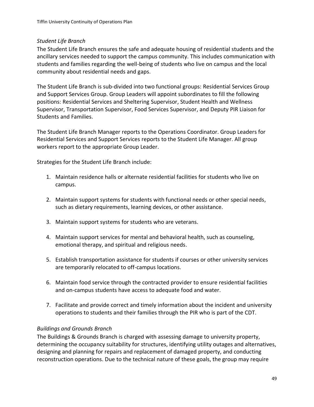## *Student Life Branch*

The Student Life Branch ensures the safe and adequate housing of residential students and the ancillary services needed to support the campus community. This includes communication with students and families regarding the well-being of students who live on campus and the local community about residential needs and gaps.

The Student Life Branch is sub-divided into two functional groups: Residential Services Group and Support Services Group. Group Leaders will appoint subordinates to fill the following positions: Residential Services and Sheltering Supervisor, Student Health and Wellness Supervisor, Transportation Supervisor, Food Services Supervisor, and Deputy PIR Liaison for Students and Families.

The Student Life Branch Manager reports to the Operations Coordinator. Group Leaders for Residential Services and Support Services reports to the Student Life Manager. All group workers report to the appropriate Group Leader.

Strategies for the Student Life Branch include:

- 1. Maintain residence halls or alternate residential facilities for students who live on campus.
- 2. Maintain support systems for students with functional needs or other special needs, such as dietary requirements, learning devices, or other assistance.
- 3. Maintain support systems for students who are veterans.
- 4. Maintain support services for mental and behavioral health, such as counseling, emotional therapy, and spiritual and religious needs.
- 5. Establish transportation assistance for students if courses or other university services are temporarily relocated to off-campus locations.
- 6. Maintain food service through the contracted provider to ensure residential facilities and on-campus students have access to adequate food and water.
- 7. Facilitate and provide correct and timely information about the incident and university operations to students and their families through the PIR who is part of the CDT.

# *Buildings and Grounds Branch*

The Buildings & Grounds Branch is charged with assessing damage to university property, determining the occupancy suitability for structures, identifying utility outages and alternatives, designing and planning for repairs and replacement of damaged property, and conducting reconstruction operations. Due to the technical nature of these goals, the group may require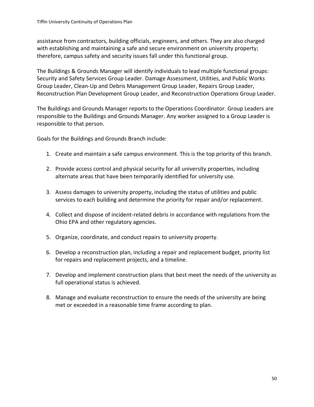assistance from contractors, building officials, engineers, and others. They are also charged with establishing and maintaining a safe and secure environment on university property; therefore, campus safety and security issues fall under this functional group.

The Buildings & Grounds Manager will identify individuals to lead multiple functional groups: Security and Safety Services Group Leader. Damage Assessment, Utilities, and Public Works Group Leader, Clean-Up and Debris Management Group Leader, Repairs Group Leader, Reconstruction Plan Development Group Leader, and Reconstruction Operations Group Leader.

The Buildings and Grounds Manager reports to the Operations Coordinator. Group Leaders are responsible to the Buildings and Grounds Manager. Any worker assigned to a Group Leader is responsible to that person.

Goals for the Buildings and Grounds Branch include:

- 1. Create and maintain a safe campus environment. This is the top priority of this branch.
- 2. Provide access control and physical security for all university properties, including alternate areas that have been temporarily identified for university use.
- 3. Assess damages to university property, including the status of utilities and public services to each building and determine the priority for repair and/or replacement.
- 4. Collect and dispose of incident-related debris in accordance with regulations from the Ohio EPA and other regulatory agencies.
- 5. Organize, coordinate, and conduct repairs to university property.
- 6. Develop a reconstruction plan, including a repair and replacement budget, priority list for repairs and replacement projects, and a timeline.
- 7. Develop and implement construction plans that best meet the needs of the university as full operational status is achieved.
- 8. Manage and evaluate reconstruction to ensure the needs of the university are being met or exceeded in a reasonable time frame according to plan.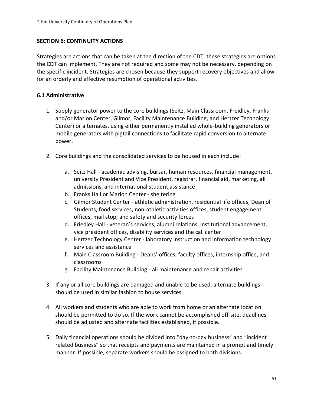#### <span id="page-51-0"></span>**SECTION 6: CONTINUITY ACTIONS**

Strategies are actions that can be taken at the direction of the CDT; these strategies are options the CDT can implement. They are not required and some may not be necessary, depending on the specific incident. Strategies are chosen because they support recovery objectives and allow for an orderly and effective resumption of operational activities.

#### <span id="page-51-1"></span>**6.1 Administrative**

- 1. Supply generator power to the core buildings (Seitz, Main Classroom, Freidley, Franks and/or Marion Center, Gilmor, Facility Maintenance Building, and Hertzer Technology Center) or alternates, using either permanently installed whole-building generators or mobile generators with pigtail connections to facilitate rapid conversion to alternate power.
- 2. Core buildings and the consolidated services to be housed in each include:
	- a. Seitz Hall academic advising, bursar, human resources, financial management, university President and Vice President, registrar, financial aid, marketing, all admissions, and international student assistance
	- b. Franks Hall or Marion Center sheltering
	- c. Gilmor Student Center athletic administration, residential life offices, Dean of Students, food services, non-athletic activities offices, student engagement offices, mail stop; and safety and security forces
	- d. Friedley Hall veteran's services, alumni relations, institutional advancement, vice president offices, disability services and the call center
	- e. Hertzer Technology Center laboratory instruction and information technology services and assistance
	- f. Main Classroom Building Deans' offices, faculty offices, internship office, and classrooms
	- g. Facility Maintenance Building all maintenance and repair activities
- 3. If any or all core buildings are damaged and unable to be used, alternate buildings should be used in similar fashion to house services.
- 4. All workers and students who are able to work from home or an alternate location should be permitted to do so. If the work cannot be accomplished off-site, deadlines should be adjusted and alternate facilities established, if possible.
- 5. Daily financial operations should be divided into "day-to-day business" and "incident related business" so that receipts and payments are maintained in a prompt and timely manner. If possible, separate workers should be assigned to both divisions.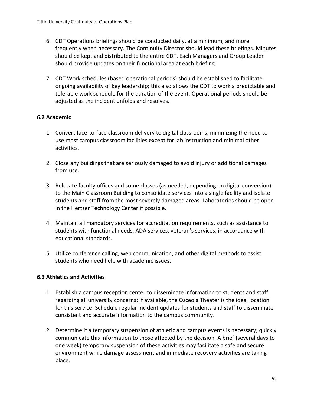- 6. CDT Operations briefings should be conducted daily, at a minimum, and more frequently when necessary. The Continuity Director should lead these briefings. Minutes should be kept and distributed to the entire CDT. Each Managers and Group Leader should provide updates on their functional area at each briefing.
- 7. CDT Work schedules (based operational periods) should be established to facilitate ongoing availability of key leadership; this also allows the CDT to work a predictable and tolerable work schedule for the duration of the event. Operational periods should be adjusted as the incident unfolds and resolves.

## <span id="page-52-0"></span>**6.2 Academic**

- 1. Convert face-to-face classroom delivery to digital classrooms, minimizing the need to use most campus classroom facilities except for lab instruction and minimal other activities.
- 2. Close any buildings that are seriously damaged to avoid injury or additional damages from use.
- 3. Relocate faculty offices and some classes (as needed, depending on digital conversion) to the Main Classroom Building to consolidate services into a single facility and isolate students and staff from the most severely damaged areas. Laboratories should be open in the Hertzer Technology Center if possible.
- 4. Maintain all mandatory services for accreditation requirements, such as assistance to students with functional needs, ADA services, veteran's services, in accordance with educational standards.
- 5. Utilize conference calling, web communication, and other digital methods to assist students who need help with academic issues.

## <span id="page-52-1"></span>**6.3 Athletics and Activities**

- 1. Establish a campus reception center to disseminate information to students and staff regarding all university concerns; if available, the Osceola Theater is the ideal location for this service. Schedule regular incident updates for students and staff to disseminate consistent and accurate information to the campus community.
- 2. Determine if a temporary suspension of athletic and campus events is necessary; quickly communicate this information to those affected by the decision. A brief (several days to one week) temporary suspension of these activities may facilitate a safe and secure environment while damage assessment and immediate recovery activities are taking place.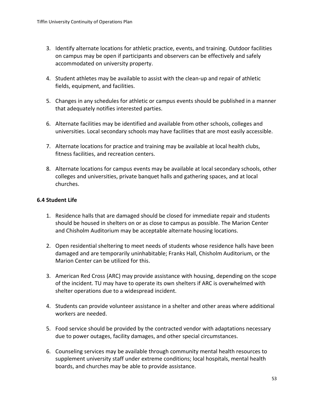- 3. Identify alternate locations for athletic practice, events, and training. Outdoor facilities on campus may be open if participants and observers can be effectively and safely accommodated on university property.
- 4. Student athletes may be available to assist with the clean-up and repair of athletic fields, equipment, and facilities.
- 5. Changes in any schedules for athletic or campus events should be published in a manner that adequately notifies interested parties.
- 6. Alternate facilities may be identified and available from other schools, colleges and universities. Local secondary schools may have facilities that are most easily accessible.
- 7. Alternate locations for practice and training may be available at local health clubs, fitness facilities, and recreation centers.
- 8. Alternate locations for campus events may be available at local secondary schools, other colleges and universities, private banquet halls and gathering spaces, and at local churches.

#### <span id="page-53-0"></span>**6.4 Student Life**

- 1. Residence halls that are damaged should be closed for immediate repair and students should be housed in shelters on or as close to campus as possible. The Marion Center and Chisholm Auditorium may be acceptable alternate housing locations.
- 2. Open residential sheltering to meet needs of students whose residence halls have been damaged and are temporarily uninhabitable; Franks Hall, Chisholm Auditorium, or the Marion Center can be utilized for this.
- 3. American Red Cross (ARC) may provide assistance with housing, depending on the scope of the incident. TU may have to operate its own shelters if ARC is overwhelmed with shelter operations due to a widespread incident.
- 4. Students can provide volunteer assistance in a shelter and other areas where additional workers are needed.
- 5. Food service should be provided by the contracted vendor with adaptations necessary due to power outages, facility damages, and other special circumstances.
- 6. Counseling services may be available through community mental health resources to supplement university staff under extreme conditions; local hospitals, mental health boards, and churches may be able to provide assistance.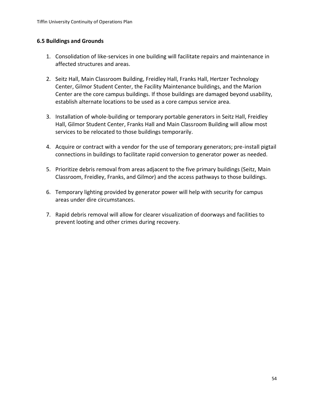#### <span id="page-54-0"></span>**6.5 Buildings and Grounds**

- 1. Consolidation of like-services in one building will facilitate repairs and maintenance in affected structures and areas.
- 2. Seitz Hall, Main Classroom Building, Freidley Hall, Franks Hall, Hertzer Technology Center, Gilmor Student Center, the Facility Maintenance buildings, and the Marion Center are the core campus buildings. If those buildings are damaged beyond usability, establish alternate locations to be used as a core campus service area.
- 3. Installation of whole-building or temporary portable generators in Seitz Hall, Freidley Hall, Gilmor Student Center, Franks Hall and Main Classroom Building will allow most services to be relocated to those buildings temporarily.
- 4. Acquire or contract with a vendor for the use of temporary generators; pre-install pigtail connections in buildings to facilitate rapid conversion to generator power as needed.
- 5. Prioritize debris removal from areas adjacent to the five primary buildings (Seitz, Main Classroom, Freidley, Franks, and Gilmor) and the access pathways to those buildings.
- 6. Temporary lighting provided by generator power will help with security for campus areas under dire circumstances.
- 7. Rapid debris removal will allow for clearer visualization of doorways and facilities to prevent looting and other crimes during recovery.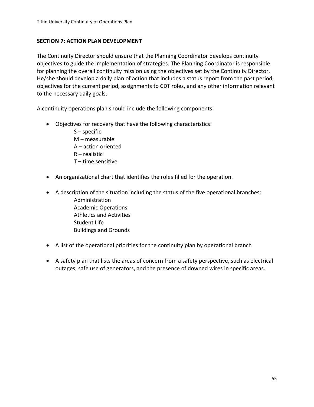#### <span id="page-55-0"></span>**SECTION 7: ACTION PLAN DEVELOPMENT**

The Continuity Director should ensure that the Planning Coordinator develops continuity objectives to guide the implementation of strategies. The Planning Coordinator is responsible for planning the overall continuity mission using the objectives set by the Continuity Director. He/she should develop a daily plan of action that includes a status report from the past period, objectives for the current period, assignments to CDT roles, and any other information relevant to the necessary daily goals.

A continuity operations plan should include the following components:

- Objectives for recovery that have the following characteristics:
	- $S$  specific M – measurable A – action oriented R – realistic T – time sensitive
- An organizational chart that identifies the roles filled for the operation.
- A description of the situation including the status of the five operational branches: Administration Academic Operations Athletics and Activities Student Life Buildings and Grounds
- A list of the operational priorities for the continuity plan by operational branch
- A safety plan that lists the areas of concern from a safety perspective, such as electrical outages, safe use of generators, and the presence of downed wires in specific areas.